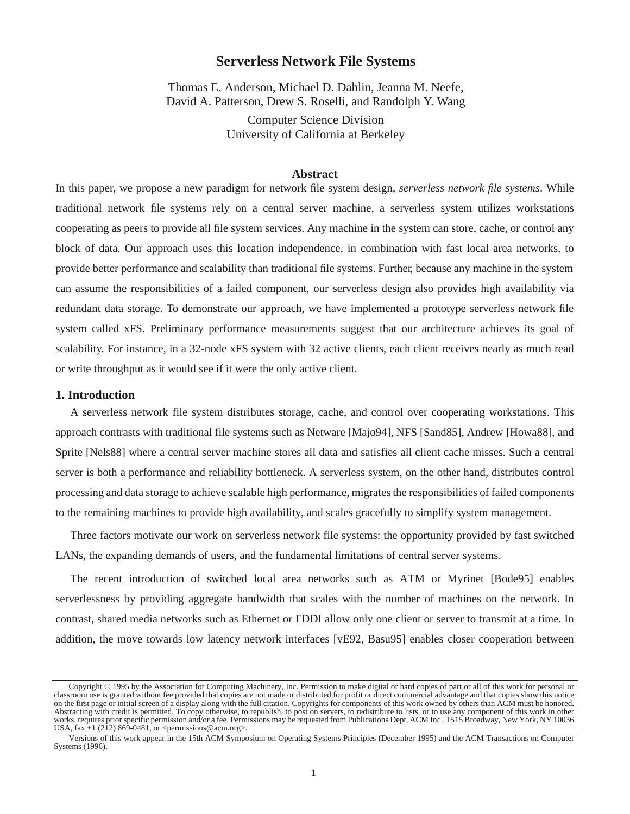# **Serverless Network File Systems**

Thomas E. Anderson, Michael D. Dahlin, Jeanna M. Neefe, David A. Patterson, Drew S. Roselli, and Randolph Y. Wang Computer Science Division University of California at Berkeley

#### **Abstract**

In this paper, we propose a new paradigm for network file system design, *serverless network file systems*. While traditional network file systems rely on a central server machine, a serverless system utilizes workstations cooperating as peers to provide all file system services. Any machine in the system can store, cache, or control any block of data. Our approach uses this location independence, in combination with fast local area networks, to provide better performance and scalability than traditional file systems. Further, because any machine in the system can assume the responsibilities of a failed component, our serverless design also provides high availability via redundant data storage. To demonstrate our approach, we have implemented a prototype serverless network file system called xFS. Preliminary performance measurements suggest that our architecture achieves its goal of scalability. For instance, in a 32-node xFS system with 32 active clients, each client receives nearly as much read or write throughput as it would see if it were the only active client.

#### **1. Introduction**

A serverless network file system distributes storage, cache, and control over cooperating workstations. This approach contrasts with traditional file systems such as Netware [Majo94], NFS [Sand85], Andrew [Howa88], and Sprite [Nels88] where a central server machine stores all data and satisfies all client cache misses. Such a central server is both a performance and reliability bottleneck. A serverless system, on the other hand, distributes control processing and data storage to achieve scalable high performance, migrates the responsibilities of failed components to the remaining machines to provide high availability, and scales gracefully to simplify system management.

Three factors motivate our work on serverless network file systems: the opportunity provided by fast switched LANs, the expanding demands of users, and the fundamental limitations of central server systems.

The recent introduction of switched local area networks such as ATM or Myrinet [Bode95] enables serverlessness by providing aggregate bandwidth that scales with the number of machines on the network. In contrast, shared media networks such as Ethernet or FDDI allow only one client or server to transmit at a time. In addition, the move towards low latency network interfaces [vE92, Basu95] enables closer cooperation between

Copyright © 1995 by the Association for Computing Machinery, Inc. Permission to make digital or hard copies of part or all of this work for personal or classroom use is granted without fee provided that copies are not made or distributed for profit or direct commercial advantage and that copies show this notice on the first page or initial screen of a display along with the full citation. Copyrights for components of this work owned by others than ACM must be honored. Abstracting with credit is permitted. To copy otherwise, to republish, to post on servers, to redistribute to lists, or to use any component of this work in other works, requires prior specific permission and/or a fee. Permissions may be requested from Publications Dept, ACM Inc., 1515 Broadway, New York, NY 10036 USA,  $\text{fix} +1$  (212) 869-0481, or <permissions@acm.org>.

Versions of this work appear in the 15th ACM Symposium on Operating Systems Principles (December 1995) and the ACM Transactions on Computer Systems (1996).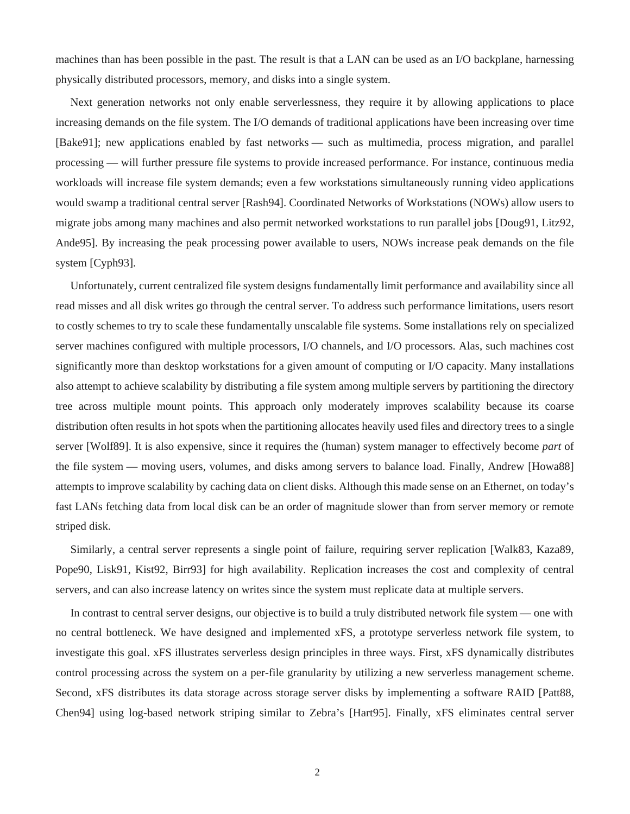machines than has been possible in the past. The result is that a LAN can be used as an I/O backplane, harnessing physically distributed processors, memory, and disks into a single system.

Next generation networks not only enable serverlessness, they require it by allowing applications to place increasing demands on the file system. The I/O demands of traditional applications have been increasing over time [Bake91]; new applications enabled by fast networks — such as multimedia, process migration, and parallel processing — will further pressure file systems to provide increased performance. For instance, continuous media workloads will increase file system demands; even a few workstations simultaneously running video applications would swamp a traditional central server [Rash94]. Coordinated Networks of Workstations (NOWs) allow users to migrate jobs among many machines and also permit networked workstations to run parallel jobs [Doug91, Litz92, Ande95]. By increasing the peak processing power available to users, NOWs increase peak demands on the file system [Cyph93].

Unfortunately, current centralized file system designs fundamentally limit performance and availability since all read misses and all disk writes go through the central server. To address such performance limitations, users resort to costly schemes to try to scale these fundamentally unscalable file systems. Some installations rely on specialized server machines configured with multiple processors, I/O channels, and I/O processors. Alas, such machines cost significantly more than desktop workstations for a given amount of computing or I/O capacity. Many installations also attempt to achieve scalability by distributing a file system among multiple servers by partitioning the directory tree across multiple mount points. This approach only moderately improves scalability because its coarse distribution often results in hot spots when the partitioning allocates heavily used files and directory trees to a single server [Wolf89]. It is also expensive, since it requires the (human) system manager to effectively become *part* of the file system — moving users, volumes, and disks among servers to balance load. Finally, Andrew [Howa88] attempts to improve scalability by caching data on client disks. Although this made sense on an Ethernet, on today's fast LANs fetching data from local disk can be an order of magnitude slower than from server memory or remote striped disk.

Similarly, a central server represents a single point of failure, requiring server replication [Walk83, Kaza89, Pope90, Lisk91, Kist92, Birr93] for high availability. Replication increases the cost and complexity of central servers, and can also increase latency on writes since the system must replicate data at multiple servers.

In contrast to central server designs, our objective is to build a truly distributed network file system — one with no central bottleneck. We have designed and implemented xFS, a prototype serverless network file system, to investigate this goal. xFS illustrates serverless design principles in three ways. First, xFS dynamically distributes control processing across the system on a per-file granularity by utilizing a new serverless management scheme. Second, xFS distributes its data storage across storage server disks by implementing a software RAID [Patt88, Chen94] using log-based network striping similar to Zebra's [Hart95]. Finally, xFS eliminates central server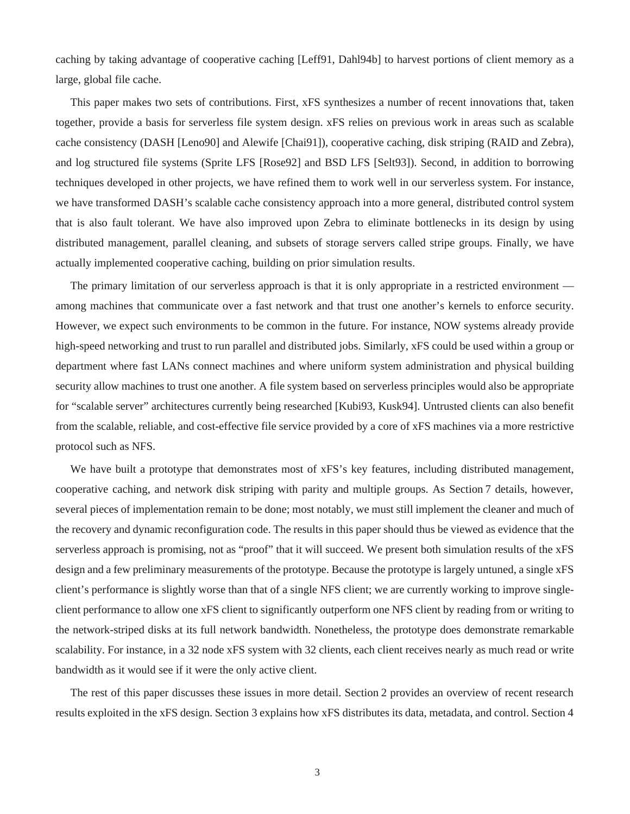caching by taking advantage of cooperative caching [Leff91, Dahl94b] to harvest portions of client memory as a large, global file cache.

This paper makes two sets of contributions. First, xFS synthesizes a number of recent innovations that, taken together, provide a basis for serverless file system design. xFS relies on previous work in areas such as scalable cache consistency (DASH [Leno90] and Alewife [Chai91]), cooperative caching, disk striping (RAID and Zebra), and log structured file systems (Sprite LFS [Rose92] and BSD LFS [Selt93]). Second, in addition to borrowing techniques developed in other projects, we have refined them to work well in our serverless system. For instance, we have transformed DASH's scalable cache consistency approach into a more general, distributed control system that is also fault tolerant. We have also improved upon Zebra to eliminate bottlenecks in its design by using distributed management, parallel cleaning, and subsets of storage servers called stripe groups. Finally, we have actually implemented cooperative caching, building on prior simulation results.

The primary limitation of our serverless approach is that it is only appropriate in a restricted environment among machines that communicate over a fast network and that trust one another's kernels to enforce security. However, we expect such environments to be common in the future. For instance, NOW systems already provide high-speed networking and trust to run parallel and distributed jobs. Similarly, xFS could be used within a group or department where fast LANs connect machines and where uniform system administration and physical building security allow machines to trust one another. A file system based on serverless principles would also be appropriate for "scalable server" architectures currently being researched [Kubi93, Kusk94]. Untrusted clients can also benefit from the scalable, reliable, and cost-effective file service provided by a core of xFS machines via a more restrictive protocol such as NFS.

We have built a prototype that demonstrates most of xFS's key features, including distributed management, cooperative caching, and network disk striping with parity and multiple groups. As Section 7 details, however, several pieces of implementation remain to be done; most notably, we must still implement the cleaner and much of the recovery and dynamic reconfiguration code. The results in this paper should thus be viewed as evidence that the serverless approach is promising, not as "proof" that it will succeed. We present both simulation results of the xFS design and a few preliminary measurements of the prototype. Because the prototype is largely untuned, a single xFS client's performance is slightly worse than that of a single NFS client; we are currently working to improve singleclient performance to allow one xFS client to significantly outperform one NFS client by reading from or writing to the network-striped disks at its full network bandwidth. Nonetheless, the prototype does demonstrate remarkable scalability. For instance, in a 32 node xFS system with 32 clients, each client receives nearly as much read or write bandwidth as it would see if it were the only active client.

The rest of this paper discusses these issues in more detail. Section 2 provides an overview of recent research results exploited in the xFS design. Section 3 explains how xFS distributes its data, metadata, and control. Section 4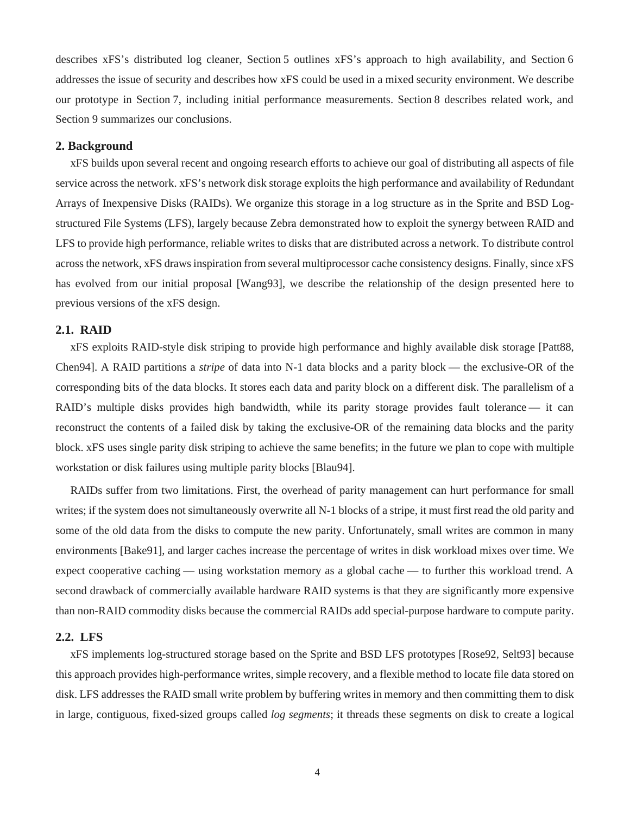describes xFS's distributed log cleaner, Section 5 outlines xFS's approach to high availability, and Section 6 addresses the issue of security and describes how xFS could be used in a mixed security environment. We describe our prototype in Section 7, including initial performance measurements. Section 8 describes related work, and Section 9 summarizes our conclusions.

# **2. Background**

xFS builds upon several recent and ongoing research efforts to achieve our goal of distributing all aspects of file service across the network. xFS's network disk storage exploits the high performance and availability of Redundant Arrays of Inexpensive Disks (RAIDs). We organize this storage in a log structure as in the Sprite and BSD Logstructured File Systems (LFS), largely because Zebra demonstrated how to exploit the synergy between RAID and LFS to provide high performance, reliable writes to disks that are distributed across a network. To distribute control across the network, xFS draws inspiration from several multiprocessor cache consistency designs. Finally, since xFS has evolved from our initial proposal [Wang93], we describe the relationship of the design presented here to previous versions of the xFS design.

# **2.1. RAID**

xFS exploits RAID-style disk striping to provide high performance and highly available disk storage [Patt88, Chen94]. A RAID partitions a *stripe* of data into N-1 data blocks and a parity block — the exclusive-OR of the corresponding bits of the data blocks. It stores each data and parity block on a different disk. The parallelism of a RAID's multiple disks provides high bandwidth, while its parity storage provides fault tolerance — it can reconstruct the contents of a failed disk by taking the exclusive-OR of the remaining data blocks and the parity block. xFS uses single parity disk striping to achieve the same benefits; in the future we plan to cope with multiple workstation or disk failures using multiple parity blocks [Blau94].

RAIDs suffer from two limitations. First, the overhead of parity management can hurt performance for small writes; if the system does not simultaneously overwrite all N-1 blocks of a stripe, it must first read the old parity and some of the old data from the disks to compute the new parity. Unfortunately, small writes are common in many environments [Bake91], and larger caches increase the percentage of writes in disk workload mixes over time. We expect cooperative caching — using workstation memory as a global cache — to further this workload trend. A second drawback of commercially available hardware RAID systems is that they are significantly more expensive than non-RAID commodity disks because the commercial RAIDs add special-purpose hardware to compute parity.

### **2.2. LFS**

xFS implements log-structured storage based on the Sprite and BSD LFS prototypes [Rose92, Selt93] because this approach provides high-performance writes, simple recovery, and a flexible method to locate file data stored on disk. LFS addresses the RAID small write problem by buffering writes in memory and then committing them to disk in large, contiguous, fixed-sized groups called *log segments*; it threads these segments on disk to create a logical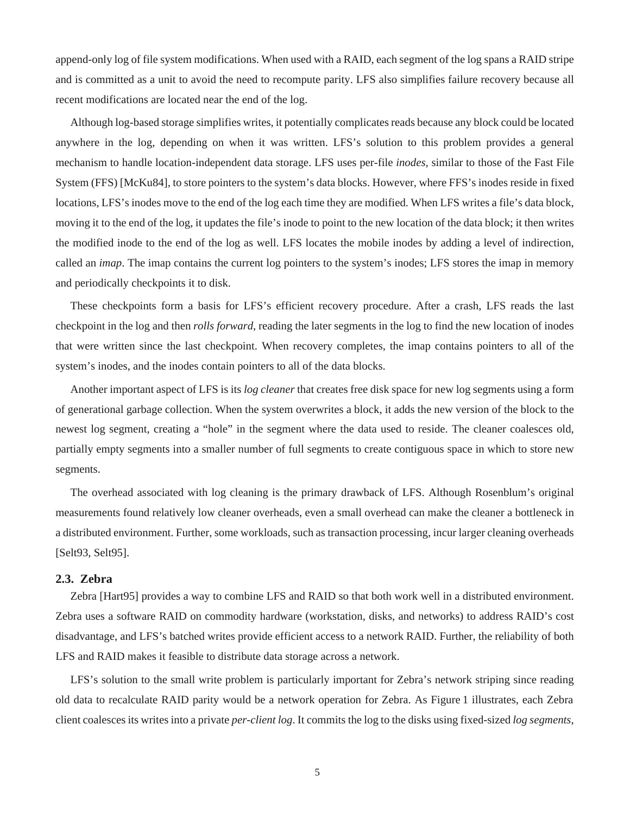append-only log of file system modifications. When used with a RAID, each segment of the log spans a RAID stripe and is committed as a unit to avoid the need to recompute parity. LFS also simplifies failure recovery because all recent modifications are located near the end of the log.

Although log-based storage simplifies writes, it potentially complicates reads because any block could be located anywhere in the log, depending on when it was written. LFS's solution to this problem provides a general mechanism to handle location-independent data storage. LFS uses per-file *inodes,* similar to those of the Fast File System (FFS) [McKu84], to store pointers to the system's data blocks. However, where FFS's inodes reside in fixed locations, LFS's inodes move to the end of the log each time they are modified. When LFS writes a file's data block, moving it to the end of the log, it updates the file's inode to point to the new location of the data block; it then writes the modified inode to the end of the log as well. LFS locates the mobile inodes by adding a level of indirection, called an *imap*. The imap contains the current log pointers to the system's inodes; LFS stores the imap in memory and periodically checkpoints it to disk.

These checkpoints form a basis for LFS's efficient recovery procedure. After a crash, LFS reads the last checkpoint in the log and then *rolls forward*, reading the later segments in the log to find the new location of inodes that were written since the last checkpoint. When recovery completes, the imap contains pointers to all of the system's inodes, and the inodes contain pointers to all of the data blocks.

Another important aspect of LFS is its *log cleaner* that creates free disk space for new log segments using a form of generational garbage collection. When the system overwrites a block, it adds the new version of the block to the newest log segment, creating a "hole" in the segment where the data used to reside. The cleaner coalesces old, partially empty segments into a smaller number of full segments to create contiguous space in which to store new segments.

The overhead associated with log cleaning is the primary drawback of LFS. Although Rosenblum's original measurements found relatively low cleaner overheads, even a small overhead can make the cleaner a bottleneck in a distributed environment. Further, some workloads, such as transaction processing, incur larger cleaning overheads [Selt93, Selt95].

# **2.3. Zebra**

Zebra [Hart95] provides a way to combine LFS and RAID so that both work well in a distributed environment. Zebra uses a software RAID on commodity hardware (workstation, disks, and networks) to address RAID's cost disadvantage, and LFS's batched writes provide efficient access to a network RAID. Further, the reliability of both LFS and RAID makes it feasible to distribute data storage across a network.

LFS's solution to the small write problem is particularly important for Zebra's network striping since reading old data to recalculate RAID parity would be a network operation for Zebra. As Figure 1 illustrates, each Zebra client coalesces its writes into a private *per-client log*. It commits the log to the disks using fixed-sized *log segments*,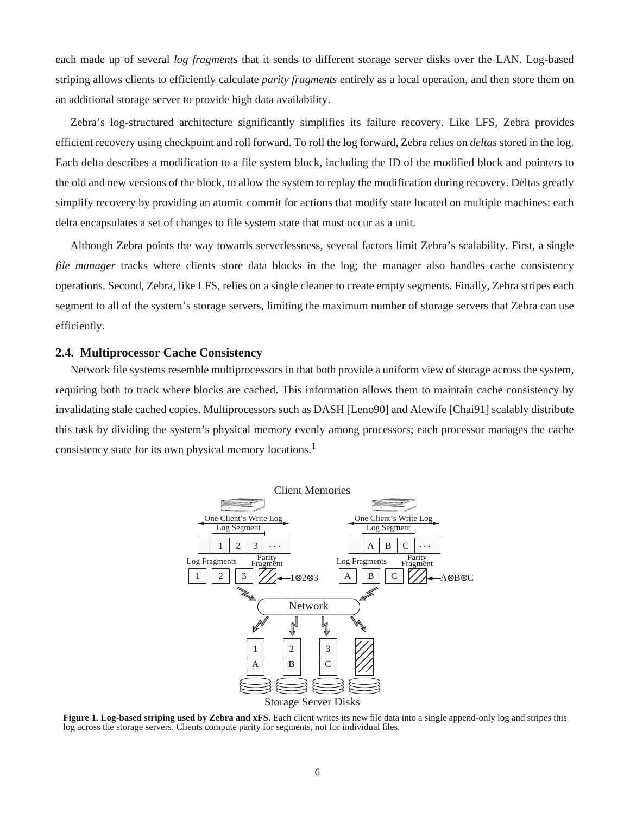each made up of several *log fragments* that it sends to different storage server disks over the LAN. Log-based striping allows clients to efficiently calculate *parity fragments* entirely as a local operation, and then store them on an additional storage server to provide high data availability.

Zebra's log-structured architecture significantly simplifies its failure recovery. Like LFS, Zebra provides efficient recovery using checkpoint and roll forward. To roll the log forward, Zebra relies on *deltas* stored in the log. Each delta describes a modification to a file system block, including the ID of the modified block and pointers to the old and new versions of the block, to allow the system to replay the modification during recovery. Deltas greatly simplify recovery by providing an atomic commit for actions that modify state located on multiple machines: each delta encapsulates a set of changes to file system state that must occur as a unit.

Although Zebra points the way towards serverlessness, several factors limit Zebra's scalability. First, a single *file manager* tracks where clients store data blocks in the log; the manager also handles cache consistency operations. Second, Zebra, like LFS, relies on a single cleaner to create empty segments. Finally, Zebra stripes each segment to all of the system's storage servers, limiting the maximum number of storage servers that Zebra can use efficiently.

# **2.4. Multiprocessor Cache Consistency**

Network file systems resemble multiprocessors in that both provide a uniform view of storage across the system, requiring both to track where blocks are cached. This information allows them to maintain cache consistency by invalidating stale cached copies. Multiprocessors such as DASH [Leno90] and Alewife [Chai91] scalably distribute this task by dividing the system's physical memory evenly among processors; each processor manages the cache consistency state for its own physical memory locations.<sup>1</sup>



**Figure 1. Log-based striping used by Zebra and xFS.** Each client writes its new file data into a single append-only log and stripes this log across the storage servers. Clients compute parity for segments, not for individual files.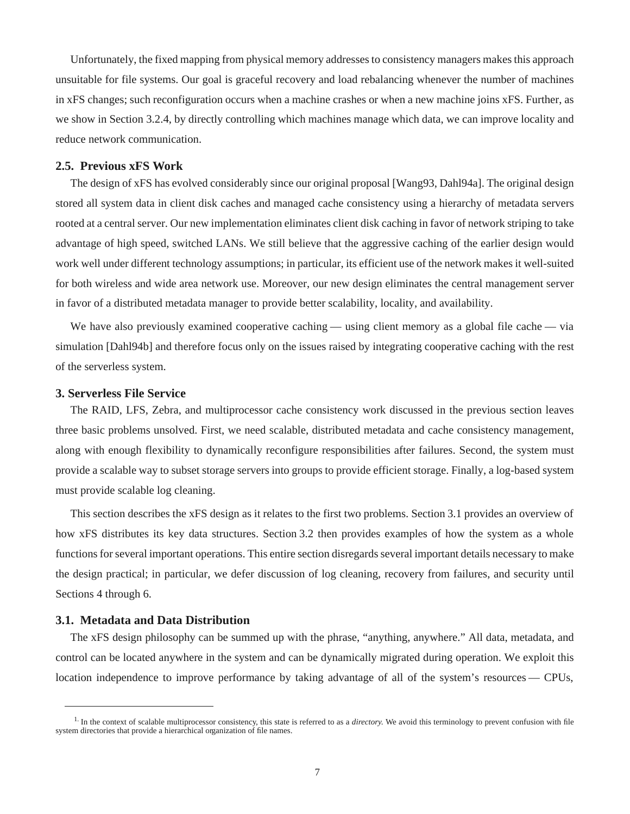Unfortunately, the fixed mapping from physical memory addresses to consistency managers makes this approach unsuitable for file systems. Our goal is graceful recovery and load rebalancing whenever the number of machines in xFS changes; such reconfiguration occurs when a machine crashes or when a new machine joins xFS. Further, as we show in Section 3.2.4, by directly controlling which machines manage which data, we can improve locality and reduce network communication.

## **2.5. Previous xFS Work**

The design of xFS has evolved considerably since our original proposal [Wang93, Dahl94a]. The original design stored all system data in client disk caches and managed cache consistency using a hierarchy of metadata servers rooted at a central server. Our new implementation eliminates client disk caching in favor of network striping to take advantage of high speed, switched LANs. We still believe that the aggressive caching of the earlier design would work well under different technology assumptions; in particular, its efficient use of the network makes it well-suited for both wireless and wide area network use. Moreover, our new design eliminates the central management server in favor of a distributed metadata manager to provide better scalability, locality, and availability.

We have also previously examined cooperative caching — using client memory as a global file cache — via simulation [Dahl94b] and therefore focus only on the issues raised by integrating cooperative caching with the rest of the serverless system.

#### **3. Serverless File Service**

The RAID, LFS, Zebra, and multiprocessor cache consistency work discussed in the previous section leaves three basic problems unsolved. First, we need scalable, distributed metadata and cache consistency management, along with enough flexibility to dynamically reconfigure responsibilities after failures. Second, the system must provide a scalable way to subset storage servers into groups to provide efficient storage. Finally, a log-based system must provide scalable log cleaning.

This section describes the xFS design as it relates to the first two problems. Section 3.1 provides an overview of how xFS distributes its key data structures. Section 3.2 then provides examples of how the system as a whole functions for several important operations. This entire section disregards several important details necessary to make the design practical; in particular, we defer discussion of log cleaning, recovery from failures, and security until Sections 4 through 6.

# **3.1. Metadata and Data Distribution**

The xFS design philosophy can be summed up with the phrase, "anything, anywhere." All data, metadata, and control can be located anywhere in the system and can be dynamically migrated during operation. We exploit this location independence to improve performance by taking advantage of all of the system's resources — CPUs,

<sup>1.</sup> In the context of scalable multiprocessor consistency, this state is referred to as a *directory*. We avoid this terminology to prevent confusion with file system directories that provide a hierarchical organization of file names.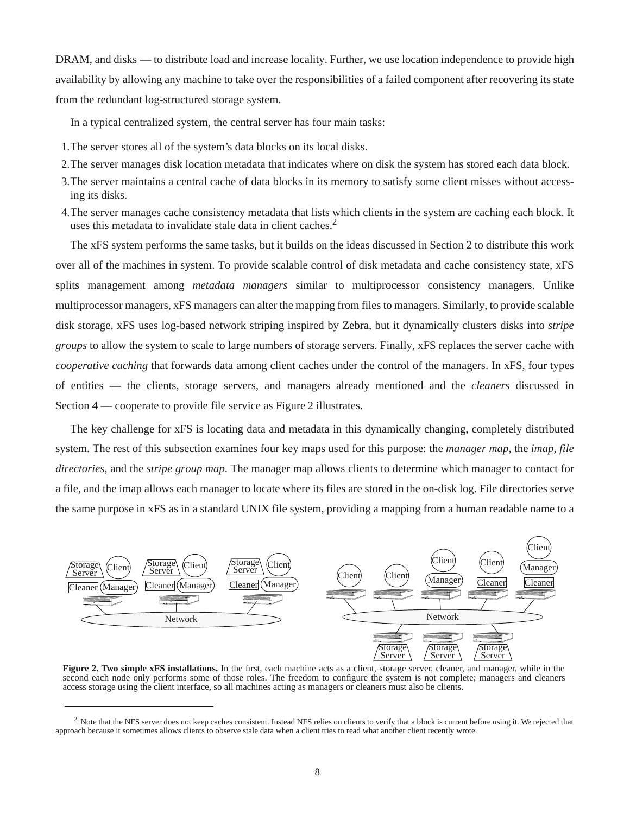DRAM, and disks — to distribute load and increase locality. Further, we use location independence to provide high availability by allowing any machine to take over the responsibilities of a failed component after recovering its state from the redundant log-structured storage system.

In a typical centralized system, the central server has four main tasks:

- 1.The server stores all of the system's data blocks on its local disks.
- 2.The server manages disk location metadata that indicates where on disk the system has stored each data block.
- 3.The server maintains a central cache of data blocks in its memory to satisfy some client misses without accessing its disks.
- 4.The server manages cache consistency metadata that lists which clients in the system are caching each block. It uses this metadata to invalidate stale data in client caches.<sup>2</sup>

The xFS system performs the same tasks, but it builds on the ideas discussed in Section 2 to distribute this work over all of the machines in system. To provide scalable control of disk metadata and cache consistency state, xFS splits management among *metadata managers* similar to multiprocessor consistency managers. Unlike multiprocessor managers, xFS managers can alter the mapping from files to managers. Similarly, to provide scalable disk storage, xFS uses log-based network striping inspired by Zebra, but it dynamically clusters disks into *stripe groups* to allow the system to scale to large numbers of storage servers. Finally, xFS replaces the server cache with *cooperative caching* that forwards data among client caches under the control of the managers. In xFS, four types of entities — the clients, storage servers, and managers already mentioned and the *cleaners* discussed in Section 4 — cooperate to provide file service as Figure 2 illustrates.

The key challenge for xFS is locating data and metadata in this dynamically changing, completely distributed system. The rest of this subsection examines four key maps used for this purpose: the *manager map*, the *imap*, *file directories*, and the *stripe group map*. The manager map allows clients to determine which manager to contact for a file, and the imap allows each manager to locate where its files are stored in the on-disk log. File directories serve the same purpose in xFS as in a standard UNIX file system, providing a mapping from a human readable name to a



**Figure 2. Two simple xFS installations.** In the first, each machine acts as a client, storage server, cleaner, and manager, while in the second each node only performs some of those roles. The freedom to configure the system is not complete; managers and cleaners access storage using the client interface, so all machines acting as managers or cleaners must also be clients.

 $2$ . Note that the NFS server does not keep caches consistent. Instead NFS relies on clients to verify that a block is current before using it. We rejected that approach because it sometimes allows clients to observe stale data when a client tries to read what another client recently wrote.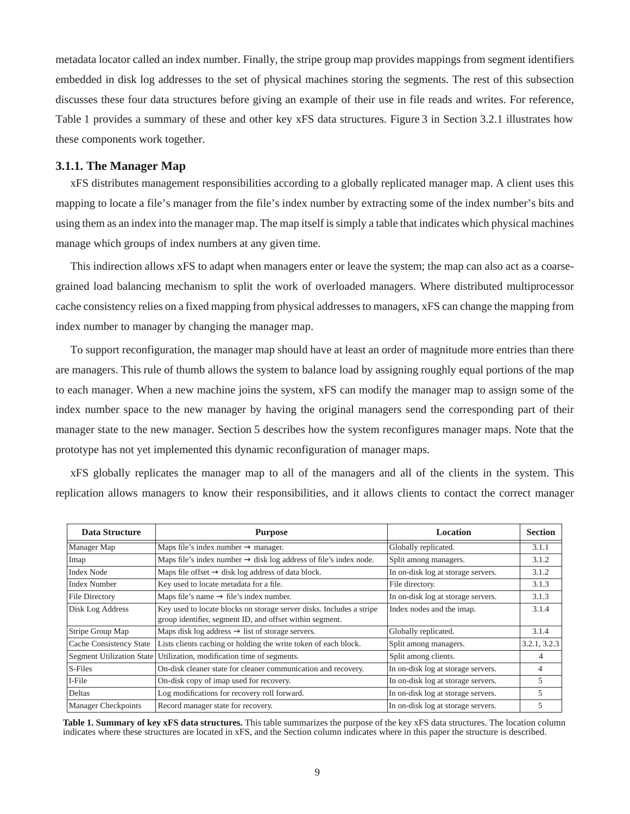metadata locator called an index number. Finally, the stripe group map provides mappings from segment identifiers embedded in disk log addresses to the set of physical machines storing the segments. The rest of this subsection discusses these four data structures before giving an example of their use in file reads and writes. For reference, Table 1 provides a summary of these and other key xFS data structures. Figure 3 in Section 3.2.1 illustrates how these components work together.

# **3.1.1. The Manager Map**

xFS distributes management responsibilities according to a globally replicated manager map. A client uses this mapping to locate a file's manager from the file's index number by extracting some of the index number's bits and using them as an index into the manager map. The map itself is simply a table that indicates which physical machines manage which groups of index numbers at any given time.

This indirection allows xFS to adapt when managers enter or leave the system; the map can also act as a coarsegrained load balancing mechanism to split the work of overloaded managers. Where distributed multiprocessor cache consistency relies on a fixed mapping from physical addresses to managers, xFS can change the mapping from index number to manager by changing the manager map.

To support reconfiguration, the manager map should have at least an order of magnitude more entries than there are managers. This rule of thumb allows the system to balance load by assigning roughly equal portions of the map to each manager. When a new machine joins the system, xFS can modify the manager map to assign some of the index number space to the new manager by having the original managers send the corresponding part of their manager state to the new manager. Section 5 describes how the system reconfigures manager maps. Note that the prototype has not yet implemented this dynamic reconfiguration of manager maps.

xFS globally replicates the manager map to all of the managers and all of the clients in the system. This replication allows managers to know their responsibilities, and it allows clients to contact the correct manager

| Data Structure             | <b>Purpose</b>                                                                                                                   | <b>Location</b>                    | <b>Section</b> |
|----------------------------|----------------------------------------------------------------------------------------------------------------------------------|------------------------------------|----------------|
| Manager Map                | Maps file's index number $\rightarrow$ manager.                                                                                  | Globally replicated.               | 3.1.1          |
| Imap                       | Maps file's index number $\rightarrow$ disk log address of file's index node.                                                    | Split among managers.              | 3.1.2          |
| <b>Index Node</b>          | Maps file offset $\rightarrow$ disk log address of data block.                                                                   | In on-disk log at storage servers. | 3.1.2          |
| <b>Index Number</b>        | Key used to locate metadata for a file.                                                                                          | File directory.                    | 3.1.3          |
| <b>File Directory</b>      | Maps file's name $\rightarrow$ file's index number.                                                                              | In on-disk log at storage servers. | 3.1.3          |
| Disk Log Address           | Key used to locate blocks on storage server disks. Includes a stripe<br>group identifier, segment ID, and offset within segment. | Index nodes and the imap.          | 3.1.4          |
| Stripe Group Map           | Maps disk log address $\rightarrow$ list of storage servers.                                                                     | Globally replicated.               | 3.1.4          |
| Cache Consistency State    | Lists clients caching or holding the write token of each block.                                                                  | Split among managers.              | 3.2.1, 3.2.3   |
|                            | Segment Utilization State   Utilization, modification time of segments.                                                          | Split among clients.               | 4              |
| S-Files                    | On-disk cleaner state for cleaner communication and recovery.                                                                    | In on-disk log at storage servers. | 4              |
| I-File                     | On-disk copy of imap used for recovery.                                                                                          | In on-disk log at storage servers. | 5              |
| Deltas                     | Log modifications for recovery roll forward.                                                                                     | In on-disk log at storage servers. | 5              |
| <b>Manager Checkpoints</b> | Record manager state for recovery.                                                                                               | In on-disk log at storage servers. | 5              |

**Table 1. Summary of key xFS data structures.** This table summarizes the purpose of the key xFS data structures. The location column indicates where these structures are located in xFS, and the Section column indicates where in this paper the structure is described.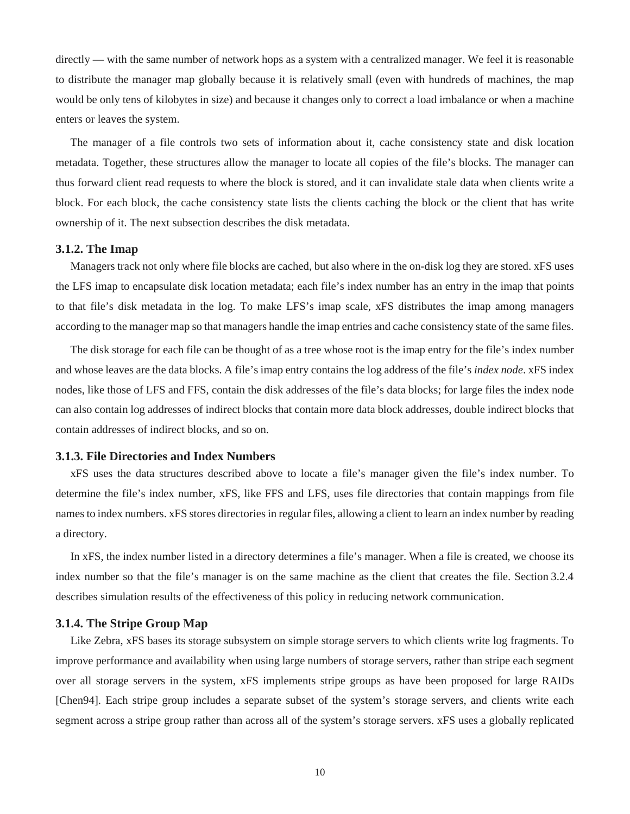directly — with the same number of network hops as a system with a centralized manager. We feel it is reasonable to distribute the manager map globally because it is relatively small (even with hundreds of machines, the map would be only tens of kilobytes in size) and because it changes only to correct a load imbalance or when a machine enters or leaves the system.

The manager of a file controls two sets of information about it, cache consistency state and disk location metadata. Together, these structures allow the manager to locate all copies of the file's blocks. The manager can thus forward client read requests to where the block is stored, and it can invalidate stale data when clients write a block. For each block, the cache consistency state lists the clients caching the block or the client that has write ownership of it. The next subsection describes the disk metadata.

# **3.1.2. The Imap**

Managers track not only where file blocks are cached, but also where in the on-disk log they are stored. xFS uses the LFS imap to encapsulate disk location metadata; each file's index number has an entry in the imap that points to that file's disk metadata in the log. To make LFS's imap scale, xFS distributes the imap among managers according to the manager map so that managers handle the imap entries and cache consistency state of the same files.

The disk storage for each file can be thought of as a tree whose root is the imap entry for the file's index number and whose leaves are the data blocks. A file's imap entry contains the log address of the file's *index node*. xFS index nodes, like those of LFS and FFS, contain the disk addresses of the file's data blocks; for large files the index node can also contain log addresses of indirect blocks that contain more data block addresses, double indirect blocks that contain addresses of indirect blocks, and so on.

#### **3.1.3. File Directories and Index Numbers**

xFS uses the data structures described above to locate a file's manager given the file's index number. To determine the file's index number, xFS, like FFS and LFS, uses file directories that contain mappings from file names to index numbers. xFS stores directories in regular files, allowing a client to learn an index number by reading a directory.

In xFS, the index number listed in a directory determines a file's manager. When a file is created, we choose its index number so that the file's manager is on the same machine as the client that creates the file. Section 3.2.4 describes simulation results of the effectiveness of this policy in reducing network communication.

#### **3.1.4. The Stripe Group Map**

Like Zebra, xFS bases its storage subsystem on simple storage servers to which clients write log fragments. To improve performance and availability when using large numbers of storage servers, rather than stripe each segment over all storage servers in the system, xFS implements stripe groups as have been proposed for large RAIDs [Chen94]. Each stripe group includes a separate subset of the system's storage servers, and clients write each segment across a stripe group rather than across all of the system's storage servers. xFS uses a globally replicated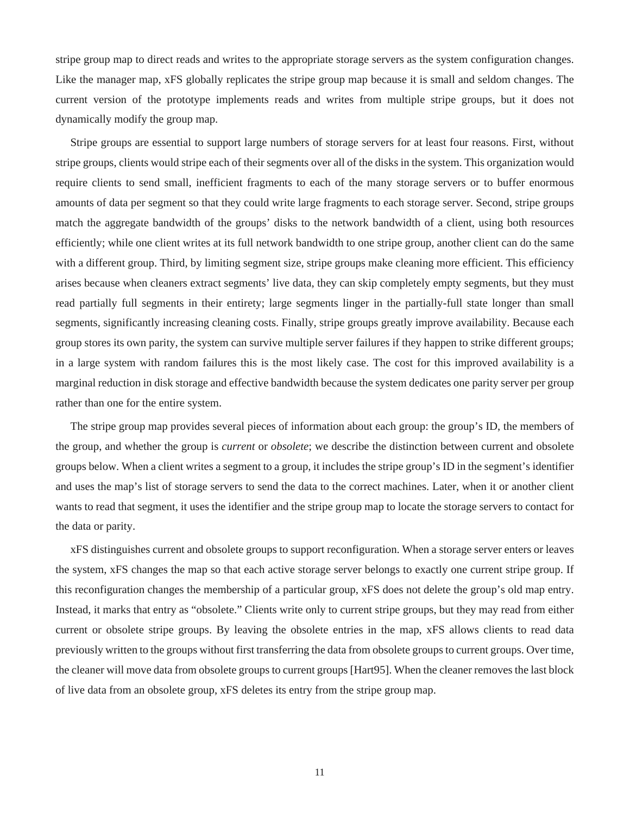stripe group map to direct reads and writes to the appropriate storage servers as the system configuration changes. Like the manager map, xFS globally replicates the stripe group map because it is small and seldom changes. The current version of the prototype implements reads and writes from multiple stripe groups, but it does not dynamically modify the group map.

Stripe groups are essential to support large numbers of storage servers for at least four reasons. First, without stripe groups, clients would stripe each of their segments over all of the disks in the system. This organization would require clients to send small, inefficient fragments to each of the many storage servers or to buffer enormous amounts of data per segment so that they could write large fragments to each storage server. Second, stripe groups match the aggregate bandwidth of the groups' disks to the network bandwidth of a client, using both resources efficiently; while one client writes at its full network bandwidth to one stripe group, another client can do the same with a different group. Third, by limiting segment size, stripe groups make cleaning more efficient. This efficiency arises because when cleaners extract segments' live data, they can skip completely empty segments, but they must read partially full segments in their entirety; large segments linger in the partially-full state longer than small segments, significantly increasing cleaning costs. Finally, stripe groups greatly improve availability. Because each group stores its own parity, the system can survive multiple server failures if they happen to strike different groups; in a large system with random failures this is the most likely case. The cost for this improved availability is a marginal reduction in disk storage and effective bandwidth because the system dedicates one parity server per group rather than one for the entire system.

The stripe group map provides several pieces of information about each group: the group's ID, the members of the group, and whether the group is *current* or *obsolete*; we describe the distinction between current and obsolete groups below. When a client writes a segment to a group, it includes the stripe group's ID in the segment's identifier and uses the map's list of storage servers to send the data to the correct machines. Later, when it or another client wants to read that segment, it uses the identifier and the stripe group map to locate the storage servers to contact for the data or parity.

xFS distinguishes current and obsolete groups to support reconfiguration. When a storage server enters or leaves the system, xFS changes the map so that each active storage server belongs to exactly one current stripe group. If this reconfiguration changes the membership of a particular group, xFS does not delete the group's old map entry. Instead, it marks that entry as "obsolete." Clients write only to current stripe groups, but they may read from either current or obsolete stripe groups. By leaving the obsolete entries in the map, xFS allows clients to read data previously written to the groups without first transferring the data from obsolete groups to current groups. Over time, the cleaner will move data from obsolete groups to current groups [Hart95]. When the cleaner removes the last block of live data from an obsolete group, xFS deletes its entry from the stripe group map.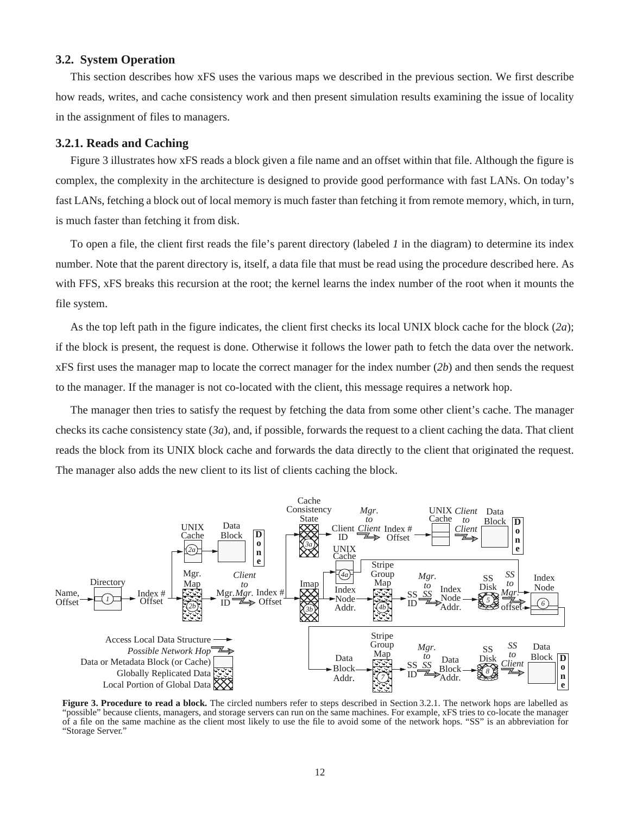# **3.2. System Operation**

This section describes how xFS uses the various maps we described in the previous section. We first describe how reads, writes, and cache consistency work and then present simulation results examining the issue of locality in the assignment of files to managers.

# **3.2.1. Reads and Caching**

Figure 3 illustrates how xFS reads a block given a file name and an offset within that file. Although the figure is complex, the complexity in the architecture is designed to provide good performance with fast LANs. On today's fast LANs, fetching a block out of local memory is much faster than fetching it from remote memory, which, in turn, is much faster than fetching it from disk.

To open a file, the client first reads the file's parent directory (labeled *1* in the diagram) to determine its index number. Note that the parent directory is, itself, a data file that must be read using the procedure described here. As with FFS, xFS breaks this recursion at the root; the kernel learns the index number of the root when it mounts the file system.

As the top left path in the figure indicates, the client first checks its local UNIX block cache for the block (*2a*); if the block is present, the request is done. Otherwise it follows the lower path to fetch the data over the network. xFS first uses the manager map to locate the correct manager for the index number (*2b*) and then sends the request to the manager. If the manager is not co-located with the client, this message requires a network hop.

The manager then tries to satisfy the request by fetching the data from some other client's cache. The manager checks its cache consistency state  $(3a)$ , and, if possible, forwards the request to a client caching the data. That client reads the block from its UNIX block cache and forwards the data directly to the client that originated the request. The manager also adds the new client to its list of clients caching the block.



**Figure 3. Procedure to read a block.** The circled numbers refer to steps described in Section 3.2.1. The network hops are labelled as "possible" because clients, managers, and storage servers can run on the same machines. For example, xFS tries to co-locate the manager of a file on the same machine as the client most likely to use the file to avoid some of the network hops. "SS" is an abbreviation for "Storage Server."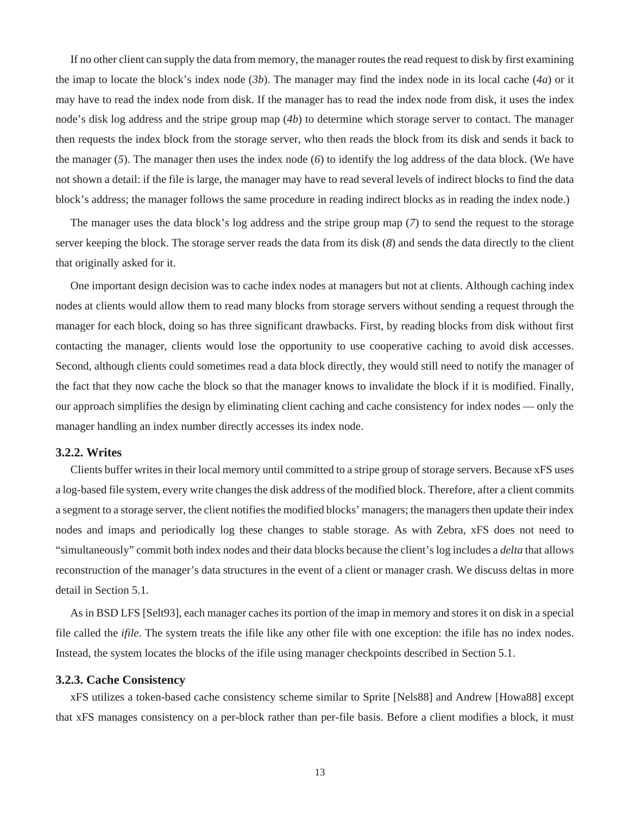If no other client can supply the data from memory, the manager routes the read request to disk by first examining the imap to locate the block's index node (*3b*). The manager may find the index node in its local cache (*4a*) or it may have to read the index node from disk. If the manager has to read the index node from disk, it uses the index node's disk log address and the stripe group map (*4b*) to determine which storage server to contact. The manager then requests the index block from the storage server, who then reads the block from its disk and sends it back to the manager (*5*). The manager then uses the index node (*6*) to identify the log address of the data block. (We have not shown a detail: if the file is large, the manager may have to read several levels of indirect blocks to find the data block's address; the manager follows the same procedure in reading indirect blocks as in reading the index node.)

The manager uses the data block's log address and the stripe group map (*7*) to send the request to the storage server keeping the block. The storage server reads the data from its disk (*8*) and sends the data directly to the client that originally asked for it.

One important design decision was to cache index nodes at managers but not at clients. Although caching index nodes at clients would allow them to read many blocks from storage servers without sending a request through the manager for each block, doing so has three significant drawbacks. First, by reading blocks from disk without first contacting the manager, clients would lose the opportunity to use cooperative caching to avoid disk accesses. Second, although clients could sometimes read a data block directly, they would still need to notify the manager of the fact that they now cache the block so that the manager knows to invalidate the block if it is modified. Finally, our approach simplifies the design by eliminating client caching and cache consistency for index nodes — only the manager handling an index number directly accesses its index node.

### **3.2.2. Writes**

Clients buffer writes in their local memory until committed to a stripe group of storage servers. Because xFS uses a log-based file system, every write changes the disk address of the modified block. Therefore, after a client commits a segment to a storage server, the client notifies the modified blocks' managers; the managers then update their index nodes and imaps and periodically log these changes to stable storage. As with Zebra, xFS does not need to "simultaneously" commit both index nodes and their data blocks because the client's log includes a *delta* that allows reconstruction of the manager's data structures in the event of a client or manager crash. We discuss deltas in more detail in Section 5.1.

As in BSD LFS [Selt93], each manager caches its portion of the imap in memory and stores it on disk in a special file called the *ifile*. The system treats the ifile like any other file with one exception: the ifile has no index nodes. Instead, the system locates the blocks of the ifile using manager checkpoints described in Section 5.1.

# **3.2.3. Cache Consistency**

xFS utilizes a token-based cache consistency scheme similar to Sprite [Nels88] and Andrew [Howa88] except that xFS manages consistency on a per-block rather than per-file basis. Before a client modifies a block, it must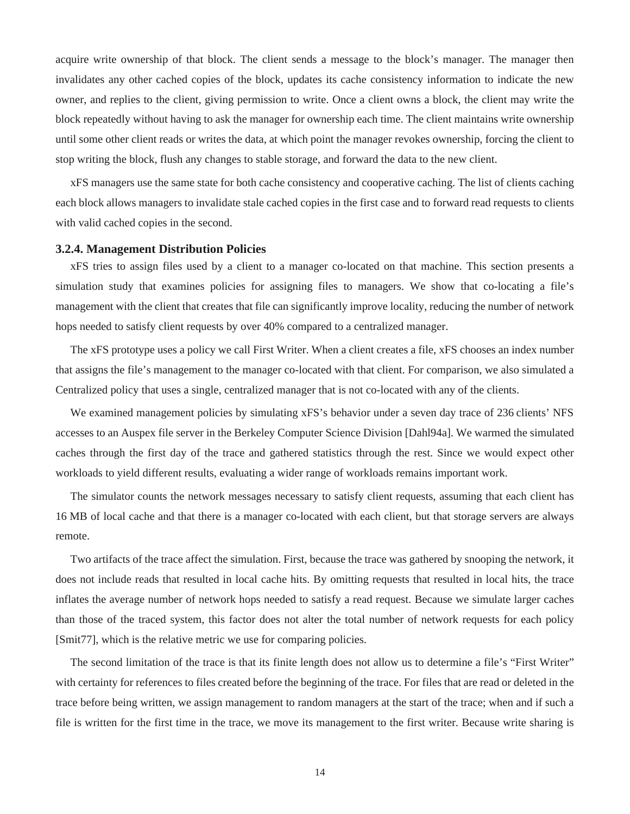acquire write ownership of that block. The client sends a message to the block's manager. The manager then invalidates any other cached copies of the block, updates its cache consistency information to indicate the new owner, and replies to the client, giving permission to write. Once a client owns a block, the client may write the block repeatedly without having to ask the manager for ownership each time. The client maintains write ownership until some other client reads or writes the data, at which point the manager revokes ownership, forcing the client to stop writing the block, flush any changes to stable storage, and forward the data to the new client.

xFS managers use the same state for both cache consistency and cooperative caching. The list of clients caching each block allows managers to invalidate stale cached copies in the first case and to forward read requests to clients with valid cached copies in the second.

#### **3.2.4. Management Distribution Policies**

xFS tries to assign files used by a client to a manager co-located on that machine. This section presents a simulation study that examines policies for assigning files to managers. We show that co-locating a file's management with the client that creates that file can significantly improve locality, reducing the number of network hops needed to satisfy client requests by over 40% compared to a centralized manager.

The xFS prototype uses a policy we call First Writer. When a client creates a file, xFS chooses an index number that assigns the file's management to the manager co-located with that client. For comparison, we also simulated a Centralized policy that uses a single, centralized manager that is not co-located with any of the clients.

We examined management policies by simulating xFS's behavior under a seven day trace of 236 clients' NFS accesses to an Auspex file server in the Berkeley Computer Science Division [Dahl94a]. We warmed the simulated caches through the first day of the trace and gathered statistics through the rest. Since we would expect other workloads to yield different results, evaluating a wider range of workloads remains important work.

The simulator counts the network messages necessary to satisfy client requests, assuming that each client has 16 MB of local cache and that there is a manager co-located with each client, but that storage servers are always remote.

Two artifacts of the trace affect the simulation. First, because the trace was gathered by snooping the network, it does not include reads that resulted in local cache hits. By omitting requests that resulted in local hits, the trace inflates the average number of network hops needed to satisfy a read request. Because we simulate larger caches than those of the traced system, this factor does not alter the total number of network requests for each policy [Smit77], which is the relative metric we use for comparing policies.

The second limitation of the trace is that its finite length does not allow us to determine a file's "First Writer" with certainty for references to files created before the beginning of the trace. For files that are read or deleted in the trace before being written, we assign management to random managers at the start of the trace; when and if such a file is written for the first time in the trace, we move its management to the first writer. Because write sharing is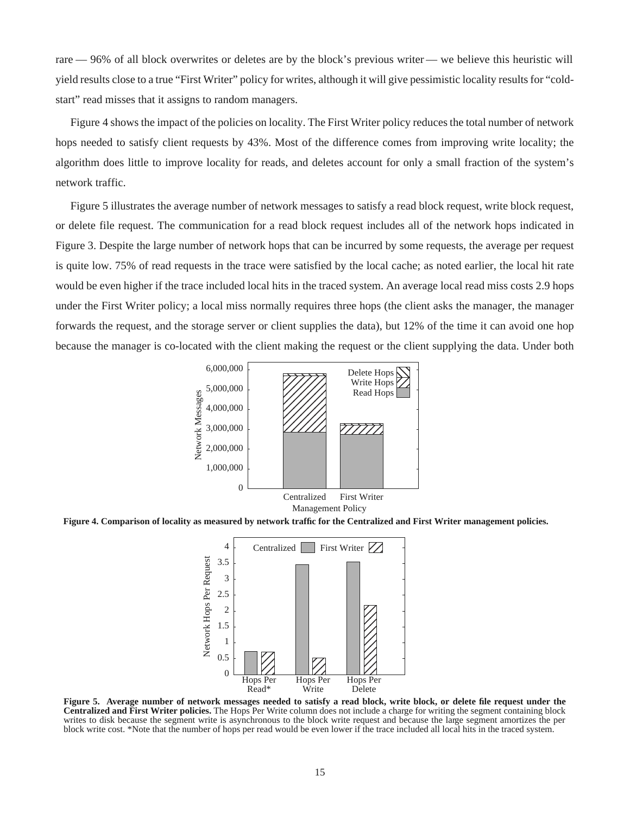rare — 96% of all block overwrites or deletes are by the block's previous writer — we believe this heuristic will yield results close to a true "First Writer" policy for writes, although it will give pessimistic locality results for "coldstart" read misses that it assigns to random managers.

Figure 4 shows the impact of the policies on locality. The First Writer policy reduces the total number of network hops needed to satisfy client requests by 43%. Most of the difference comes from improving write locality; the algorithm does little to improve locality for reads, and deletes account for only a small fraction of the system's network traffic.

Figure 5 illustrates the average number of network messages to satisfy a read block request, write block request, or delete file request. The communication for a read block request includes all of the network hops indicated in Figure 3. Despite the large number of network hops that can be incurred by some requests, the average per request is quite low. 75% of read requests in the trace were satisfied by the local cache; as noted earlier, the local hit rate would be even higher if the trace included local hits in the traced system. An average local read miss costs 2.9 hops under the First Writer policy; a local miss normally requires three hops (the client asks the manager, the manager forwards the request, and the storage server or client supplies the data), but 12% of the time it can avoid one hop because the manager is co-located with the client making the request or the client supplying the data. Under both



**Figure 4. Comparison of locality as measured by network traffic for the Centralized and First Writer management policies.**



**Figure 5. Average number of network messages needed to satisfy a read block, write block, or delete file request under the Centralized and First Writer policies.** The Hops Per Write column does not include a charge for writing the segment containing block writes to disk because the segment write is asynchronous to the block write request and because the large segment amortizes the per block write cost. \*Note that the number of hops per read would be even lower if the trace included all local hits in the traced system.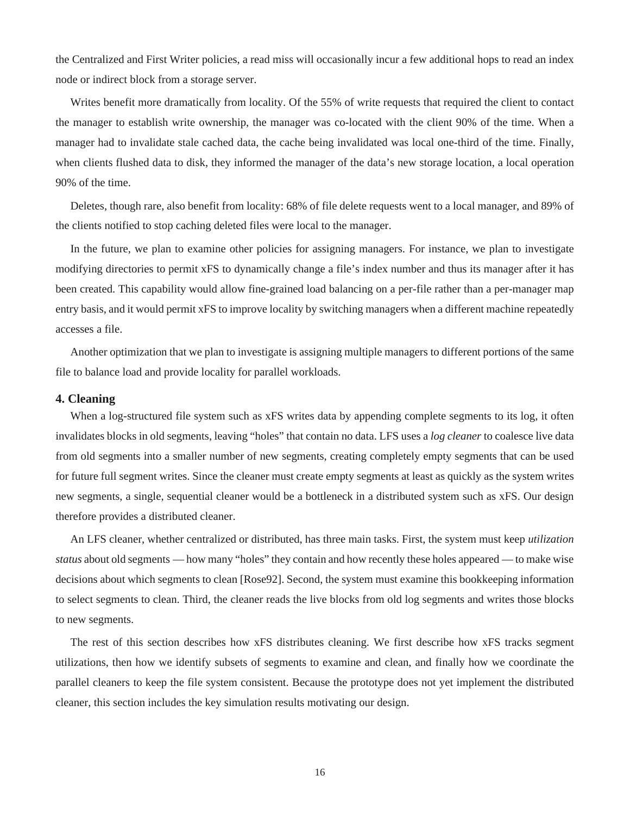the Centralized and First Writer policies, a read miss will occasionally incur a few additional hops to read an index node or indirect block from a storage server.

Writes benefit more dramatically from locality. Of the 55% of write requests that required the client to contact the manager to establish write ownership, the manager was co-located with the client 90% of the time. When a manager had to invalidate stale cached data, the cache being invalidated was local one-third of the time. Finally, when clients flushed data to disk, they informed the manager of the data's new storage location, a local operation 90% of the time.

Deletes, though rare, also benefit from locality: 68% of file delete requests went to a local manager, and 89% of the clients notified to stop caching deleted files were local to the manager.

In the future, we plan to examine other policies for assigning managers. For instance, we plan to investigate modifying directories to permit xFS to dynamically change a file's index number and thus its manager after it has been created. This capability would allow fine-grained load balancing on a per-file rather than a per-manager map entry basis, and it would permit xFS to improve locality by switching managers when a different machine repeatedly accesses a file.

Another optimization that we plan to investigate is assigning multiple managers to different portions of the same file to balance load and provide locality for parallel workloads.

### **4. Cleaning**

When a log-structured file system such as xFS writes data by appending complete segments to its log, it often invalidates blocks in old segments, leaving "holes" that contain no data. LFS uses a *log cleaner* to coalesce live data from old segments into a smaller number of new segments, creating completely empty segments that can be used for future full segment writes. Since the cleaner must create empty segments at least as quickly as the system writes new segments, a single, sequential cleaner would be a bottleneck in a distributed system such as xFS. Our design therefore provides a distributed cleaner.

An LFS cleaner, whether centralized or distributed, has three main tasks. First, the system must keep *utilization status* about old segments — how many "holes" they contain and how recently these holes appeared — to make wise decisions about which segments to clean [Rose92]. Second, the system must examine this bookkeeping information to select segments to clean. Third, the cleaner reads the live blocks from old log segments and writes those blocks to new segments.

The rest of this section describes how xFS distributes cleaning. We first describe how xFS tracks segment utilizations, then how we identify subsets of segments to examine and clean, and finally how we coordinate the parallel cleaners to keep the file system consistent. Because the prototype does not yet implement the distributed cleaner, this section includes the key simulation results motivating our design.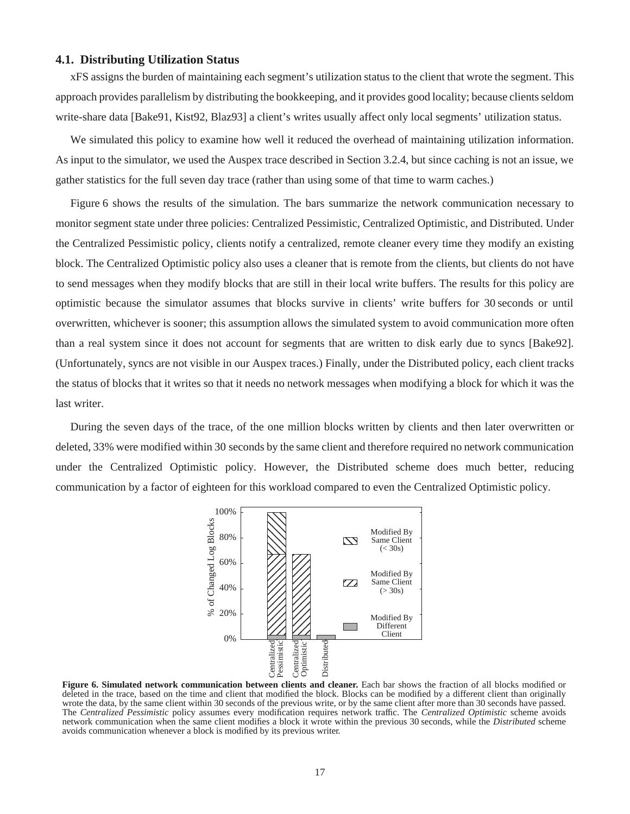# **4.1. Distributing Utilization Status**

xFS assigns the burden of maintaining each segment's utilization status to the client that wrote the segment. This approach provides parallelism by distributing the bookkeeping, and it provides good locality; because clients seldom write-share data [Bake91, Kist92, Blaz93] a client's writes usually affect only local segments' utilization status.

We simulated this policy to examine how well it reduced the overhead of maintaining utilization information. As input to the simulator, we used the Auspex trace described in Section 3.2.4, but since caching is not an issue, we gather statistics for the full seven day trace (rather than using some of that time to warm caches.)

Figure 6 shows the results of the simulation. The bars summarize the network communication necessary to monitor segment state under three policies: Centralized Pessimistic, Centralized Optimistic, and Distributed. Under the Centralized Pessimistic policy, clients notify a centralized, remote cleaner every time they modify an existing block. The Centralized Optimistic policy also uses a cleaner that is remote from the clients, but clients do not have to send messages when they modify blocks that are still in their local write buffers. The results for this policy are optimistic because the simulator assumes that blocks survive in clients' write buffers for 30 seconds or until overwritten, whichever is sooner; this assumption allows the simulated system to avoid communication more often than a real system since it does not account for segments that are written to disk early due to syncs [Bake92]. (Unfortunately, syncs are not visible in our Auspex traces.) Finally, under the Distributed policy, each client tracks the status of blocks that it writes so that it needs no network messages when modifying a block for which it was the last writer.

During the seven days of the trace, of the one million blocks written by clients and then later overwritten or deleted, 33% were modified within 30 seconds by the same client and therefore required no network communication under the Centralized Optimistic policy. However, the Distributed scheme does much better, reducing communication by a factor of eighteen for this workload compared to even the Centralized Optimistic policy.



**Figure 6. Simulated network communication between clients and cleaner.** Each bar shows the fraction of all blocks modified or deleted in the trace, based on the time and client that modified the block. Blocks can be modified by a different client than originally wrote the data, by the same client within 30 seconds of the previous write, or by the same client after more than 30 seconds have passed. The *Centralized Pessimistic* policy assumes every modification requires network traffic. The *Centralized Optimistic* scheme avoids network communication when the same client modifies a block it wrote within the previous 30 seconds, while the *Distributed* scheme avoids communication whenever a block is modified by its previous writer.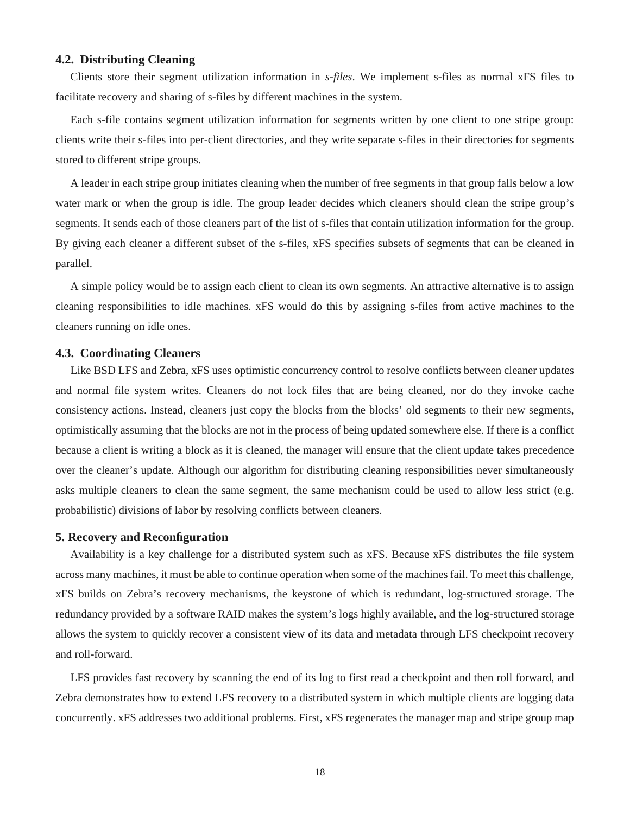# **4.2. Distributing Cleaning**

Clients store their segment utilization information in *s-files*. We implement s-files as normal xFS files to facilitate recovery and sharing of s-files by different machines in the system.

Each s-file contains segment utilization information for segments written by one client to one stripe group: clients write their s-files into per-client directories, and they write separate s-files in their directories for segments stored to different stripe groups.

A leader in each stripe group initiates cleaning when the number of free segments in that group falls below a low water mark or when the group is idle. The group leader decides which cleaners should clean the stripe group's segments. It sends each of those cleaners part of the list of s-files that contain utilization information for the group. By giving each cleaner a different subset of the s-files, xFS specifies subsets of segments that can be cleaned in parallel.

A simple policy would be to assign each client to clean its own segments. An attractive alternative is to assign cleaning responsibilities to idle machines. xFS would do this by assigning s-files from active machines to the cleaners running on idle ones.

# **4.3. Coordinating Cleaners**

Like BSD LFS and Zebra, xFS uses optimistic concurrency control to resolve conflicts between cleaner updates and normal file system writes. Cleaners do not lock files that are being cleaned, nor do they invoke cache consistency actions. Instead, cleaners just copy the blocks from the blocks' old segments to their new segments, optimistically assuming that the blocks are not in the process of being updated somewhere else. If there is a conflict because a client is writing a block as it is cleaned, the manager will ensure that the client update takes precedence over the cleaner's update. Although our algorithm for distributing cleaning responsibilities never simultaneously asks multiple cleaners to clean the same segment, the same mechanism could be used to allow less strict (e.g. probabilistic) divisions of labor by resolving conflicts between cleaners.

## **5. Recovery and Reconfiguration**

Availability is a key challenge for a distributed system such as xFS. Because xFS distributes the file system across many machines, it must be able to continue operation when some of the machines fail. To meet this challenge, xFS builds on Zebra's recovery mechanisms, the keystone of which is redundant, log-structured storage. The redundancy provided by a software RAID makes the system's logs highly available, and the log-structured storage allows the system to quickly recover a consistent view of its data and metadata through LFS checkpoint recovery and roll-forward.

LFS provides fast recovery by scanning the end of its log to first read a checkpoint and then roll forward, and Zebra demonstrates how to extend LFS recovery to a distributed system in which multiple clients are logging data concurrently. xFS addresses two additional problems. First, xFS regenerates the manager map and stripe group map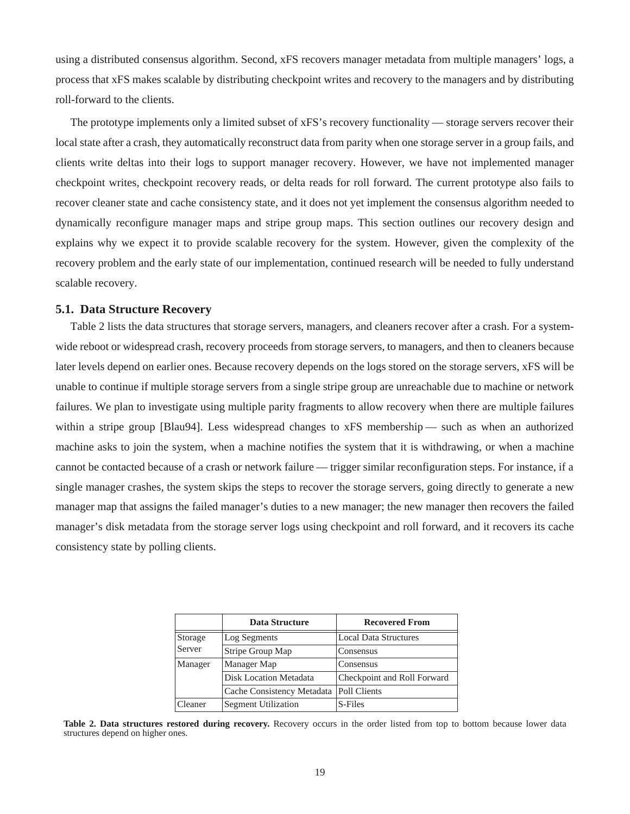using a distributed consensus algorithm. Second, xFS recovers manager metadata from multiple managers' logs, a process that xFS makes scalable by distributing checkpoint writes and recovery to the managers and by distributing roll-forward to the clients.

The prototype implements only a limited subset of xFS's recovery functionality — storage servers recover their local state after a crash, they automatically reconstruct data from parity when one storage server in a group fails, and clients write deltas into their logs to support manager recovery. However, we have not implemented manager checkpoint writes, checkpoint recovery reads, or delta reads for roll forward. The current prototype also fails to recover cleaner state and cache consistency state, and it does not yet implement the consensus algorithm needed to dynamically reconfigure manager maps and stripe group maps. This section outlines our recovery design and explains why we expect it to provide scalable recovery for the system. However, given the complexity of the recovery problem and the early state of our implementation, continued research will be needed to fully understand scalable recovery.

#### **5.1. Data Structure Recovery**

Table 2 lists the data structures that storage servers, managers, and cleaners recover after a crash. For a systemwide reboot or widespread crash, recovery proceeds from storage servers, to managers, and then to cleaners because later levels depend on earlier ones. Because recovery depends on the logs stored on the storage servers, xFS will be unable to continue if multiple storage servers from a single stripe group are unreachable due to machine or network failures. We plan to investigate using multiple parity fragments to allow recovery when there are multiple failures within a stripe group [Blau94]. Less widespread changes to xFS membership — such as when an authorized machine asks to join the system, when a machine notifies the system that it is withdrawing, or when a machine cannot be contacted because of a crash or network failure — trigger similar reconfiguration steps. For instance, if a single manager crashes, the system skips the steps to recover the storage servers, going directly to generate a new manager map that assigns the failed manager's duties to a new manager; the new manager then recovers the failed manager's disk metadata from the storage server logs using checkpoint and roll forward, and it recovers its cache consistency state by polling clients.

|                   | Data Structure                | <b>Recovered From</b>        |
|-------------------|-------------------------------|------------------------------|
| Storage<br>Server | Log Segments                  | <b>Local Data Structures</b> |
|                   | Stripe Group Map              | Consensus                    |
| Manager           | Manager Map                   | Consensus                    |
|                   | <b>Disk Location Metadata</b> | Checkpoint and Roll Forward  |
|                   | Cache Consistency Metadata    | Poll Clients                 |
| Cleaner           | <b>Segment Utilization</b>    | S-Files                      |

**Table 2. Data structures restored during recovery.** Recovery occurs in the order listed from top to bottom because lower data structures depend on higher ones.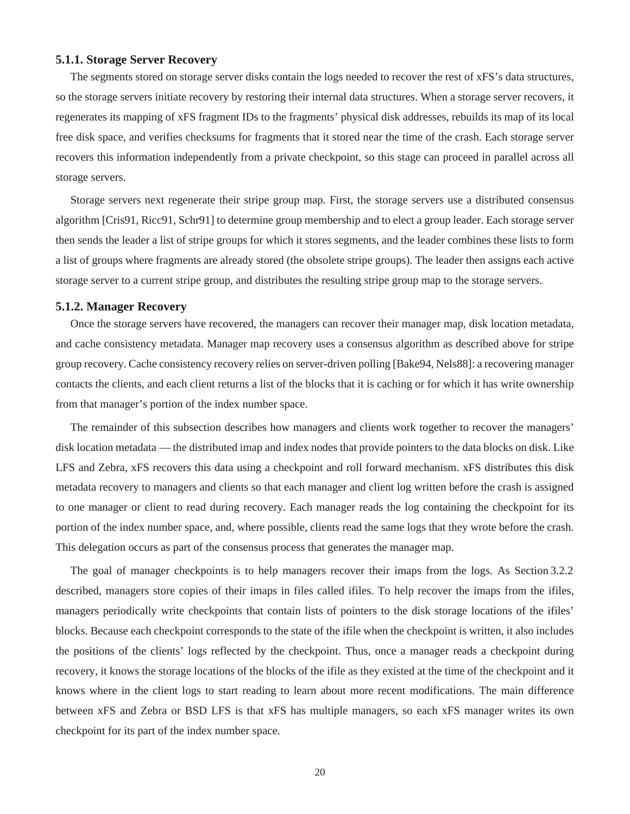### **5.1.1. Storage Server Recovery**

The segments stored on storage server disks contain the logs needed to recover the rest of xFS's data structures, so the storage servers initiate recovery by restoring their internal data structures. When a storage server recovers, it regenerates its mapping of xFS fragment IDs to the fragments' physical disk addresses, rebuilds its map of its local free disk space, and verifies checksums for fragments that it stored near the time of the crash. Each storage server recovers this information independently from a private checkpoint, so this stage can proceed in parallel across all storage servers.

Storage servers next regenerate their stripe group map. First, the storage servers use a distributed consensus algorithm [Cris91, Ricc91, Schr91] to determine group membership and to elect a group leader. Each storage server then sends the leader a list of stripe groups for which it stores segments, and the leader combines these lists to form a list of groups where fragments are already stored (the obsolete stripe groups). The leader then assigns each active storage server to a current stripe group, and distributes the resulting stripe group map to the storage servers.

#### **5.1.2. Manager Recovery**

Once the storage servers have recovered, the managers can recover their manager map, disk location metadata, and cache consistency metadata. Manager map recovery uses a consensus algorithm as described above for stripe group recovery. Cache consistency recovery relies on server-driven polling [Bake94, Nels88]: a recovering manager contacts the clients, and each client returns a list of the blocks that it is caching or for which it has write ownership from that manager's portion of the index number space.

The remainder of this subsection describes how managers and clients work together to recover the managers' disk location metadata — the distributed imap and index nodes that provide pointers to the data blocks on disk. Like LFS and Zebra, xFS recovers this data using a checkpoint and roll forward mechanism. xFS distributes this disk metadata recovery to managers and clients so that each manager and client log written before the crash is assigned to one manager or client to read during recovery. Each manager reads the log containing the checkpoint for its portion of the index number space, and, where possible, clients read the same logs that they wrote before the crash. This delegation occurs as part of the consensus process that generates the manager map.

The goal of manager checkpoints is to help managers recover their imaps from the logs. As Section 3.2.2 described, managers store copies of their imaps in files called ifiles. To help recover the imaps from the ifiles, managers periodically write checkpoints that contain lists of pointers to the disk storage locations of the ifiles' blocks. Because each checkpoint corresponds to the state of the ifile when the checkpoint is written, it also includes the positions of the clients' logs reflected by the checkpoint. Thus, once a manager reads a checkpoint during recovery, it knows the storage locations of the blocks of the ifile as they existed at the time of the checkpoint and it knows where in the client logs to start reading to learn about more recent modifications. The main difference between xFS and Zebra or BSD LFS is that xFS has multiple managers, so each xFS manager writes its own checkpoint for its part of the index number space.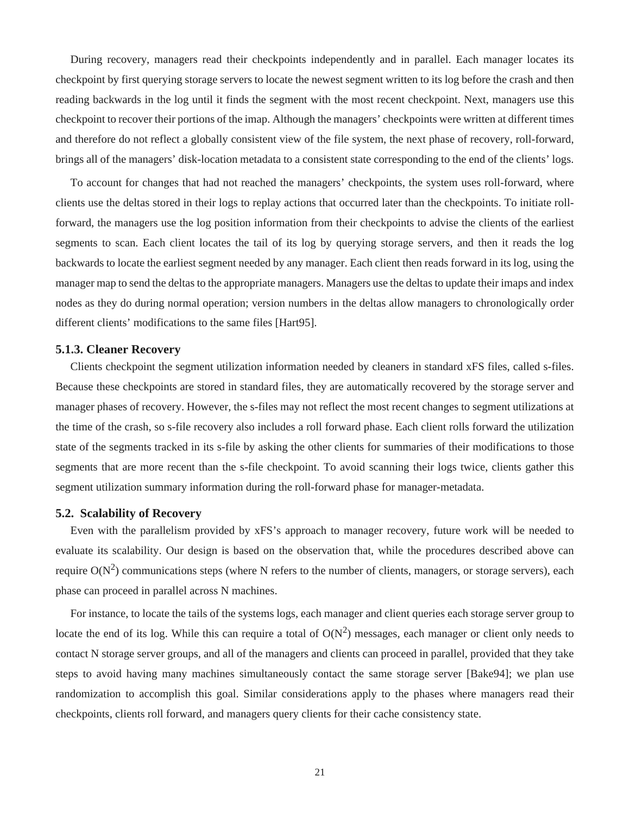During recovery, managers read their checkpoints independently and in parallel. Each manager locates its checkpoint by first querying storage servers to locate the newest segment written to its log before the crash and then reading backwards in the log until it finds the segment with the most recent checkpoint. Next, managers use this checkpoint to recover their portions of the imap. Although the managers' checkpoints were written at different times and therefore do not reflect a globally consistent view of the file system, the next phase of recovery, roll-forward, brings all of the managers' disk-location metadata to a consistent state corresponding to the end of the clients' logs.

To account for changes that had not reached the managers' checkpoints, the system uses roll-forward, where clients use the deltas stored in their logs to replay actions that occurred later than the checkpoints. To initiate rollforward, the managers use the log position information from their checkpoints to advise the clients of the earliest segments to scan. Each client locates the tail of its log by querying storage servers, and then it reads the log backwards to locate the earliest segment needed by any manager. Each client then reads forward in its log, using the manager map to send the deltas to the appropriate managers. Managers use the deltas to update their imaps and index nodes as they do during normal operation; version numbers in the deltas allow managers to chronologically order different clients' modifications to the same files [Hart95].

# **5.1.3. Cleaner Recovery**

Clients checkpoint the segment utilization information needed by cleaners in standard xFS files, called s-files. Because these checkpoints are stored in standard files, they are automatically recovered by the storage server and manager phases of recovery. However, the s-files may not reflect the most recent changes to segment utilizations at the time of the crash, so s-file recovery also includes a roll forward phase. Each client rolls forward the utilization state of the segments tracked in its s-file by asking the other clients for summaries of their modifications to those segments that are more recent than the s-file checkpoint. To avoid scanning their logs twice, clients gather this segment utilization summary information during the roll-forward phase for manager-metadata.

## **5.2. Scalability of Recovery**

Even with the parallelism provided by xFS's approach to manager recovery, future work will be needed to evaluate its scalability. Our design is based on the observation that, while the procedures described above can require  $O(N^2)$  communications steps (where N refers to the number of clients, managers, or storage servers), each phase can proceed in parallel across N machines.

For instance, to locate the tails of the systems logs, each manager and client queries each storage server group to locate the end of its log. While this can require a total of  $O(N^2)$  messages, each manager or client only needs to contact N storage server groups, and all of the managers and clients can proceed in parallel, provided that they take steps to avoid having many machines simultaneously contact the same storage server [Bake94]; we plan use randomization to accomplish this goal. Similar considerations apply to the phases where managers read their checkpoints, clients roll forward, and managers query clients for their cache consistency state.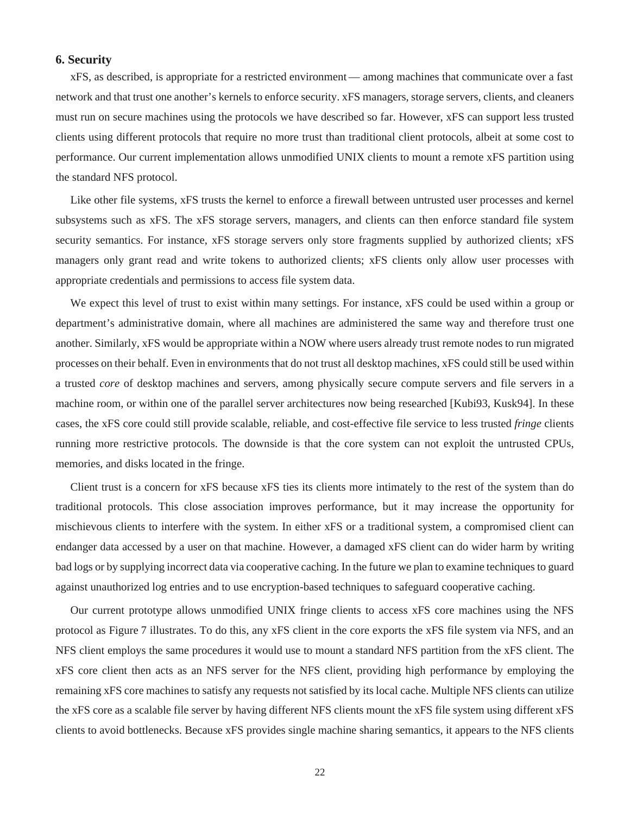# **6. Security**

xFS, as described, is appropriate for a restricted environment — among machines that communicate over a fast network and that trust one another's kernels to enforce security. xFS managers, storage servers, clients, and cleaners must run on secure machines using the protocols we have described so far. However, xFS can support less trusted clients using different protocols that require no more trust than traditional client protocols, albeit at some cost to performance. Our current implementation allows unmodified UNIX clients to mount a remote xFS partition using the standard NFS protocol.

Like other file systems, xFS trusts the kernel to enforce a firewall between untrusted user processes and kernel subsystems such as xFS. The xFS storage servers, managers, and clients can then enforce standard file system security semantics. For instance, xFS storage servers only store fragments supplied by authorized clients; xFS managers only grant read and write tokens to authorized clients; xFS clients only allow user processes with appropriate credentials and permissions to access file system data.

We expect this level of trust to exist within many settings. For instance, xFS could be used within a group or department's administrative domain, where all machines are administered the same way and therefore trust one another. Similarly, xFS would be appropriate within a NOW where users already trust remote nodes to run migrated processes on their behalf. Even in environments that do not trust all desktop machines, xFS could still be used within a trusted *core* of desktop machines and servers, among physically secure compute servers and file servers in a machine room, or within one of the parallel server architectures now being researched [Kubi93, Kusk94]. In these cases, the xFS core could still provide scalable, reliable, and cost-effective file service to less trusted *fringe* clients running more restrictive protocols. The downside is that the core system can not exploit the untrusted CPUs, memories, and disks located in the fringe.

Client trust is a concern for xFS because xFS ties its clients more intimately to the rest of the system than do traditional protocols. This close association improves performance, but it may increase the opportunity for mischievous clients to interfere with the system. In either xFS or a traditional system, a compromised client can endanger data accessed by a user on that machine. However, a damaged xFS client can do wider harm by writing bad logs or by supplying incorrect data via cooperative caching. In the future we plan to examine techniques to guard against unauthorized log entries and to use encryption-based techniques to safeguard cooperative caching.

Our current prototype allows unmodified UNIX fringe clients to access xFS core machines using the NFS protocol as Figure 7 illustrates. To do this, any xFS client in the core exports the xFS file system via NFS, and an NFS client employs the same procedures it would use to mount a standard NFS partition from the xFS client. The xFS core client then acts as an NFS server for the NFS client, providing high performance by employing the remaining xFS core machines to satisfy any requests not satisfied by its local cache. Multiple NFS clients can utilize the xFS core as a scalable file server by having different NFS clients mount the xFS file system using different xFS clients to avoid bottlenecks. Because xFS provides single machine sharing semantics, it appears to the NFS clients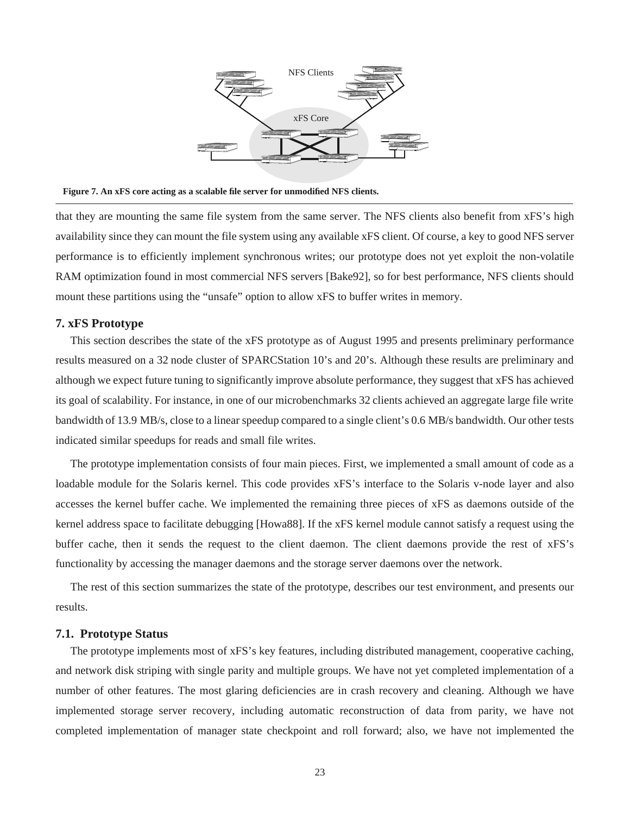

**Figure 7. An xFS core acting as a scalable file server for unmodified NFS clients.**

that they are mounting the same file system from the same server. The NFS clients also benefit from xFS's high availability since they can mount the file system using any available xFS client. Of course, a key to good NFS server performance is to efficiently implement synchronous writes; our prototype does not yet exploit the non-volatile RAM optimization found in most commercial NFS servers [Bake92], so for best performance, NFS clients should mount these partitions using the "unsafe" option to allow xFS to buffer writes in memory.

# **7. xFS Prototype**

This section describes the state of the xFS prototype as of August 1995 and presents preliminary performance results measured on a 32 node cluster of SPARCStation 10's and 20's. Although these results are preliminary and although we expect future tuning to significantly improve absolute performance, they suggest that xFS has achieved its goal of scalability. For instance, in one of our microbenchmarks 32 clients achieved an aggregate large file write bandwidth of 13.9 MB/s, close to a linear speedup compared to a single client's 0.6 MB/s bandwidth. Our other tests indicated similar speedups for reads and small file writes.

The prototype implementation consists of four main pieces. First, we implemented a small amount of code as a loadable module for the Solaris kernel. This code provides xFS's interface to the Solaris v-node layer and also accesses the kernel buffer cache. We implemented the remaining three pieces of xFS as daemons outside of the kernel address space to facilitate debugging [Howa88]. If the xFS kernel module cannot satisfy a request using the buffer cache, then it sends the request to the client daemon. The client daemons provide the rest of xFS's functionality by accessing the manager daemons and the storage server daemons over the network.

The rest of this section summarizes the state of the prototype, describes our test environment, and presents our results.

# **7.1. Prototype Status**

The prototype implements most of xFS's key features, including distributed management, cooperative caching, and network disk striping with single parity and multiple groups. We have not yet completed implementation of a number of other features. The most glaring deficiencies are in crash recovery and cleaning. Although we have implemented storage server recovery, including automatic reconstruction of data from parity, we have not completed implementation of manager state checkpoint and roll forward; also, we have not implemented the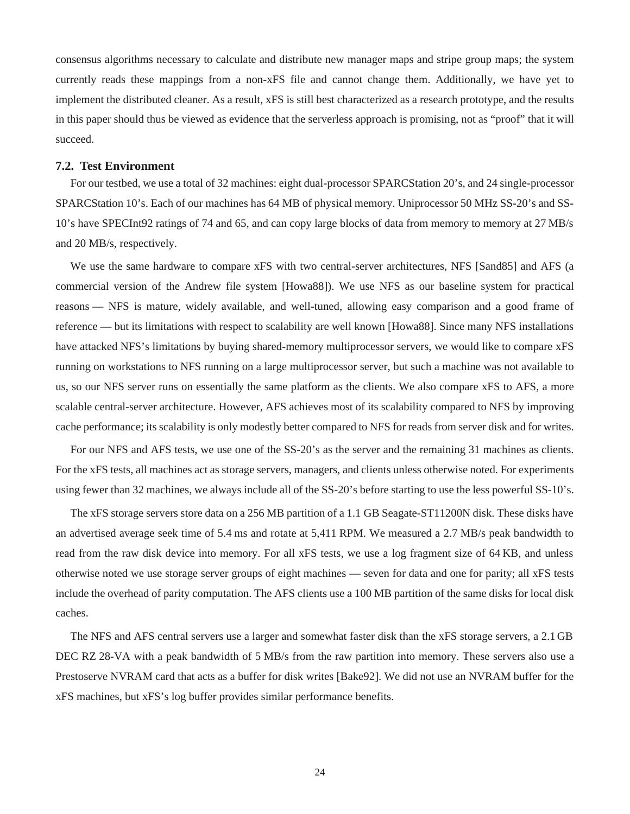consensus algorithms necessary to calculate and distribute new manager maps and stripe group maps; the system currently reads these mappings from a non-xFS file and cannot change them. Additionally, we have yet to implement the distributed cleaner. As a result, xFS is still best characterized as a research prototype, and the results in this paper should thus be viewed as evidence that the serverless approach is promising, not as "proof" that it will succeed.

### **7.2. Test Environment**

For our testbed, we use a total of 32 machines: eight dual-processor SPARCStation 20's, and 24 single-processor SPARCStation 10's. Each of our machines has 64 MB of physical memory. Uniprocessor 50 MHz SS-20's and SS-10's have SPECInt92 ratings of 74 and 65, and can copy large blocks of data from memory to memory at 27 MB/s and 20 MB/s, respectively.

We use the same hardware to compare xFS with two central-server architectures, NFS [Sand85] and AFS (a commercial version of the Andrew file system [Howa88]). We use NFS as our baseline system for practical reasons — NFS is mature, widely available, and well-tuned, allowing easy comparison and a good frame of reference — but its limitations with respect to scalability are well known [Howa88]. Since many NFS installations have attacked NFS's limitations by buying shared-memory multiprocessor servers, we would like to compare xFS running on workstations to NFS running on a large multiprocessor server, but such a machine was not available to us, so our NFS server runs on essentially the same platform as the clients. We also compare xFS to AFS, a more scalable central-server architecture. However, AFS achieves most of its scalability compared to NFS by improving cache performance; its scalability is only modestly better compared to NFS for reads from server disk and for writes.

For our NFS and AFS tests, we use one of the SS-20's as the server and the remaining 31 machines as clients. For the xFS tests, all machines act as storage servers, managers, and clients unless otherwise noted. For experiments using fewer than 32 machines, we always include all of the SS-20's before starting to use the less powerful SS-10's.

The xFS storage servers store data on a 256 MB partition of a 1.1 GB Seagate-ST11200N disk. These disks have an advertised average seek time of 5.4 ms and rotate at 5,411 RPM. We measured a 2.7 MB/s peak bandwidth to read from the raw disk device into memory. For all xFS tests, we use a log fragment size of 64 KB, and unless otherwise noted we use storage server groups of eight machines — seven for data and one for parity; all xFS tests include the overhead of parity computation. The AFS clients use a 100 MB partition of the same disks for local disk caches.

The NFS and AFS central servers use a larger and somewhat faster disk than the xFS storage servers, a 2.1 GB DEC RZ 28-VA with a peak bandwidth of 5 MB/s from the raw partition into memory. These servers also use a Prestoserve NVRAM card that acts as a buffer for disk writes [Bake92]. We did not use an NVRAM buffer for the xFS machines, but xFS's log buffer provides similar performance benefits.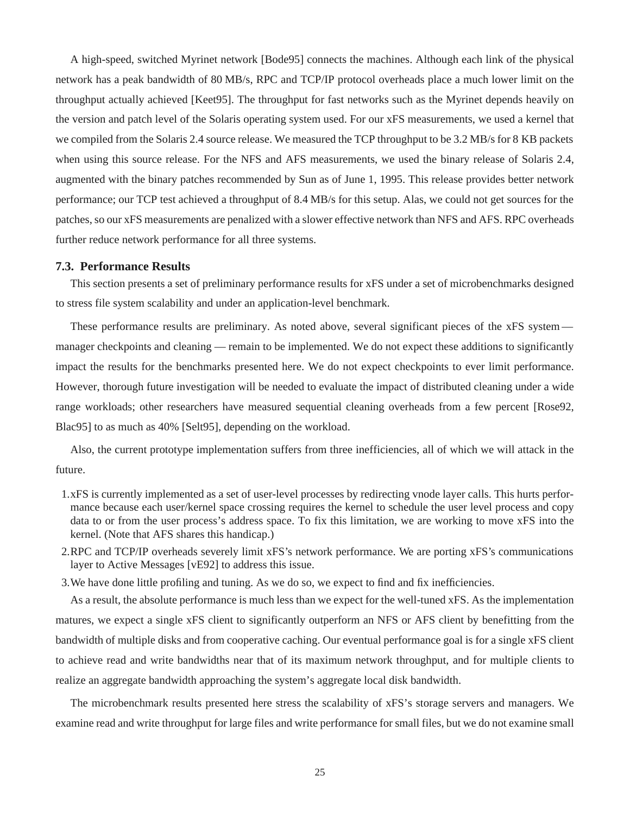A high-speed, switched Myrinet network [Bode95] connects the machines. Although each link of the physical network has a peak bandwidth of 80 MB/s, RPC and TCP/IP protocol overheads place a much lower limit on the throughput actually achieved [Keet95]. The throughput for fast networks such as the Myrinet depends heavily on the version and patch level of the Solaris operating system used. For our xFS measurements, we used a kernel that we compiled from the Solaris 2.4 source release. We measured the TCP throughput to be 3.2 MB/s for 8 KB packets when using this source release. For the NFS and AFS measurements, we used the binary release of Solaris 2.4, augmented with the binary patches recommended by Sun as of June 1, 1995. This release provides better network performance; our TCP test achieved a throughput of 8.4 MB/s for this setup. Alas, we could not get sources for the patches, so our xFS measurements are penalized with a slower effective network than NFS and AFS. RPC overheads further reduce network performance for all three systems.

# **7.3. Performance Results**

This section presents a set of preliminary performance results for xFS under a set of microbenchmarks designed to stress file system scalability and under an application-level benchmark.

These performance results are preliminary. As noted above, several significant pieces of the xFS system manager checkpoints and cleaning — remain to be implemented. We do not expect these additions to significantly impact the results for the benchmarks presented here. We do not expect checkpoints to ever limit performance. However, thorough future investigation will be needed to evaluate the impact of distributed cleaning under a wide range workloads; other researchers have measured sequential cleaning overheads from a few percent [Rose92, Blac95] to as much as 40% [Selt95], depending on the workload.

Also, the current prototype implementation suffers from three inefficiencies, all of which we will attack in the future.

- 1.xFS is currently implemented as a set of user-level processes by redirecting vnode layer calls. This hurts performance because each user/kernel space crossing requires the kernel to schedule the user level process and copy data to or from the user process's address space. To fix this limitation, we are working to move xFS into the kernel. (Note that AFS shares this handicap.)
- 2.RPC and TCP/IP overheads severely limit xFS's network performance. We are porting xFS's communications layer to Active Messages [vE92] to address this issue.

3.We have done little profiling and tuning. As we do so, we expect to find and fix inefficiencies.

As a result, the absolute performance is much less than we expect for the well-tuned xFS. As the implementation matures, we expect a single xFS client to significantly outperform an NFS or AFS client by benefitting from the bandwidth of multiple disks and from cooperative caching. Our eventual performance goal is for a single xFS client to achieve read and write bandwidths near that of its maximum network throughput, and for multiple clients to realize an aggregate bandwidth approaching the system's aggregate local disk bandwidth.

The microbenchmark results presented here stress the scalability of xFS's storage servers and managers. We examine read and write throughput for large files and write performance for small files, but we do not examine small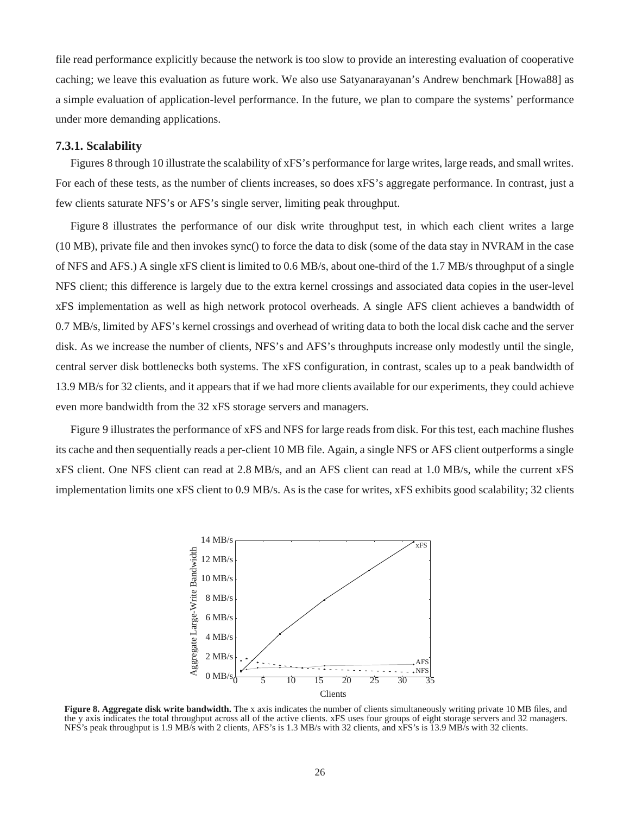file read performance explicitly because the network is too slow to provide an interesting evaluation of cooperative caching; we leave this evaluation as future work. We also use Satyanarayanan's Andrew benchmark [Howa88] as a simple evaluation of application-level performance. In the future, we plan to compare the systems' performance under more demanding applications.

# **7.3.1. Scalability**

Figures 8 through 10 illustrate the scalability of xFS's performance for large writes, large reads, and small writes. For each of these tests, as the number of clients increases, so does xFS's aggregate performance. In contrast, just a few clients saturate NFS's or AFS's single server, limiting peak throughput.

Figure 8 illustrates the performance of our disk write throughput test, in which each client writes a large (10 MB), private file and then invokes sync() to force the data to disk (some of the data stay in NVRAM in the case of NFS and AFS.) A single xFS client is limited to 0.6 MB/s, about one-third of the 1.7 MB/s throughput of a single NFS client; this difference is largely due to the extra kernel crossings and associated data copies in the user-level xFS implementation as well as high network protocol overheads. A single AFS client achieves a bandwidth of 0.7 MB/s, limited by AFS's kernel crossings and overhead of writing data to both the local disk cache and the server disk. As we increase the number of clients, NFS's and AFS's throughputs increase only modestly until the single, central server disk bottlenecks both systems. The xFS configuration, in contrast, scales up to a peak bandwidth of 13.9 MB/s for 32 clients, and it appears that if we had more clients available for our experiments, they could achieve even more bandwidth from the 32 xFS storage servers and managers.

Figure 9 illustrates the performance of xFS and NFS for large reads from disk. For this test, each machine flushes its cache and then sequentially reads a per-client 10 MB file. Again, a single NFS or AFS client outperforms a single xFS client. One NFS client can read at 2.8 MB/s, and an AFS client can read at 1.0 MB/s, while the current xFS implementation limits one xFS client to 0.9 MB/s. As is the case for writes, xFS exhibits good scalability; 32 clients



**Figure 8. Aggregate disk write bandwidth.** The x axis indicates the number of clients simultaneously writing private 10 MB files, and the y axis indicates the total throughput across all of the active clients. xFS uses four groups of eight storage servers and 32 managers. NFS's peak throughput is 1.9 MB/s with 2 clients, AFS's is 1.3 MB/s with 32 clients, and xFS's is 13.9 MB/s with 32 clients.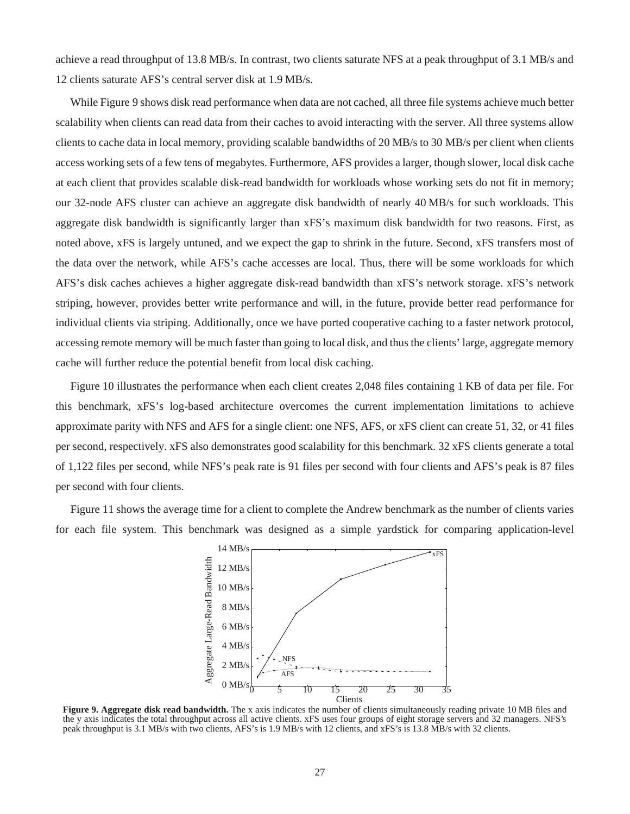achieve a read throughput of 13.8 MB/s. In contrast, two clients saturate NFS at a peak throughput of 3.1 MB/s and 12 clients saturate AFS's central server disk at 1.9 MB/s.

While Figure 9 shows disk read performance when data are not cached, all three file systems achieve much better scalability when clients can read data from their caches to avoid interacting with the server. All three systems allow clients to cache data in local memory, providing scalable bandwidths of 20 MB/s to 30 MB/s per client when clients access working sets of a few tens of megabytes. Furthermore, AFS provides a larger, though slower, local disk cache at each client that provides scalable disk-read bandwidth for workloads whose working sets do not fit in memory; our 32-node AFS cluster can achieve an aggregate disk bandwidth of nearly 40 MB/s for such workloads. This aggregate disk bandwidth is significantly larger than xFS's maximum disk bandwidth for two reasons. First, as noted above, xFS is largely untuned, and we expect the gap to shrink in the future. Second, xFS transfers most of the data over the network, while AFS's cache accesses are local. Thus, there will be some workloads for which AFS's disk caches achieves a higher aggregate disk-read bandwidth than xFS's network storage. xFS's network striping, however, provides better write performance and will, in the future, provide better read performance for individual clients via striping. Additionally, once we have ported cooperative caching to a faster network protocol, accessing remote memory will be much faster than going to local disk, and thus the clients' large, aggregate memory cache will further reduce the potential benefit from local disk caching.

Figure 10 illustrates the performance when each client creates 2,048 files containing 1 KB of data per file. For this benchmark, xFS's log-based architecture overcomes the current implementation limitations to achieve approximate parity with NFS and AFS for a single client: one NFS, AFS, or xFS client can create 51, 32, or 41 files per second, respectively. xFS also demonstrates good scalability for this benchmark. 32 xFS clients generate a total of 1,122 files per second, while NFS's peak rate is 91 files per second with four clients and AFS's peak is 87 files per second with four clients.

Figure 11 shows the average time for a client to complete the Andrew benchmark as the number of clients varies for each file system. This benchmark was designed as a simple yardstick for comparing application-level



**Figure 9. Aggregate disk read bandwidth.** The x axis indicates the number of clients simultaneously reading private 10 MB files and the y axis indicates the total throughput across all active clients. xFS uses four groups of eight storage servers and 32 managers. NFS's peak throughput is 3.1 MB/s with two clients, AFS's is 1.9 MB/s with 12 clients, and xFS's is 13.8 MB/s with 32 clients.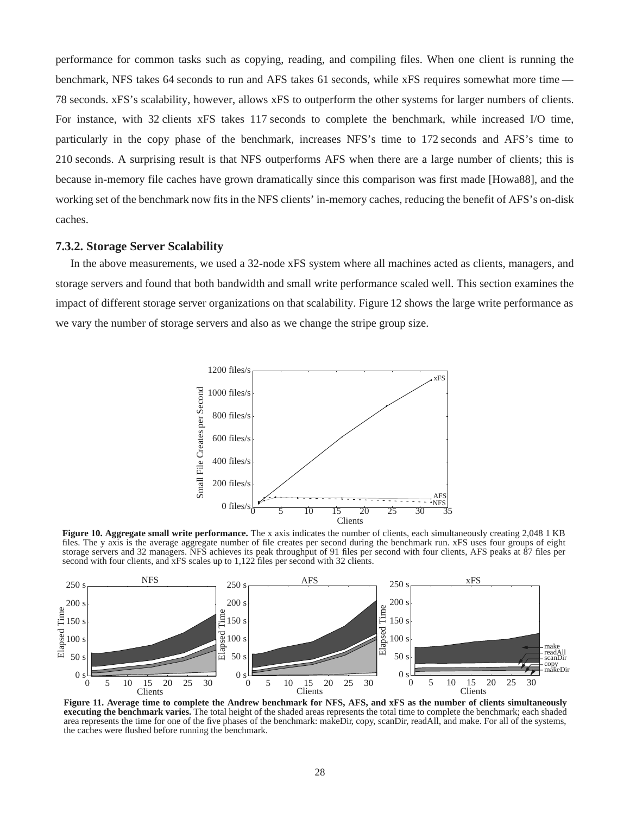performance for common tasks such as copying, reading, and compiling files. When one client is running the benchmark, NFS takes 64 seconds to run and AFS takes 61 seconds, while xFS requires somewhat more time — 78 seconds. xFS's scalability, however, allows xFS to outperform the other systems for larger numbers of clients. For instance, with 32 clients xFS takes 117 seconds to complete the benchmark, while increased I/O time, particularly in the copy phase of the benchmark, increases NFS's time to 172 seconds and AFS's time to 210 seconds. A surprising result is that NFS outperforms AFS when there are a large number of clients; this is because in-memory file caches have grown dramatically since this comparison was first made [Howa88], and the working set of the benchmark now fits in the NFS clients' in-memory caches, reducing the benefit of AFS's on-disk caches.

## **7.3.2. Storage Server Scalability**

In the above measurements, we used a 32-node xFS system where all machines acted as clients, managers, and storage servers and found that both bandwidth and small write performance scaled well. This section examines the impact of different storage server organizations on that scalability. Figure 12 shows the large write performance as we vary the number of storage servers and also as we change the stripe group size.



**Figure 10. Aggregate small write performance.** The x axis indicates the number of clients, each simultaneously creating 2,048 1 KB files. The y axis is the average aggregate number of file creates per second during the benchmark run. xFS uses four groups of eight storage servers and 32 managers. NFS achieves its peak throughput of 91 files per second with four clients, AFS peaks at 87 files per second with four clients, and xFS scales up to 1,122 files per second with 32 clients.



**Figure 11. Average time to complete the Andrew benchmark for NFS, AFS, and xFS as the number of clients simultaneously executing the benchmark varies.** The total height of the shaded areas represents the total time to complete the benchmark; each shaded area represents the time for one of the five phases of the benchmark: makeDir, copy, scanDir, readAll, and make. For all of the systems, the caches were flushed before running the benchmark.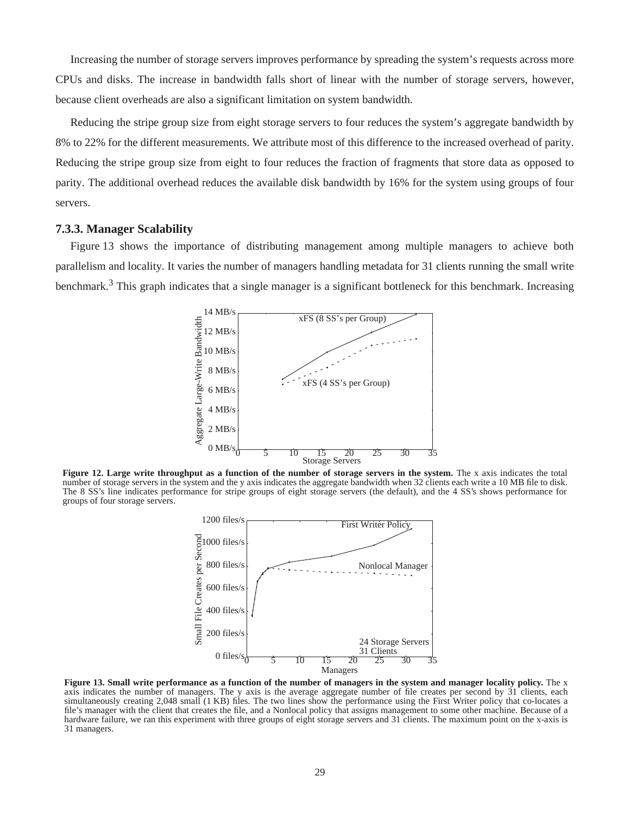Increasing the number of storage servers improves performance by spreading the system's requests across more CPUs and disks. The increase in bandwidth falls short of linear with the number of storage servers, however, because client overheads are also a significant limitation on system bandwidth.

Reducing the stripe group size from eight storage servers to four reduces the system's aggregate bandwidth by 8% to 22% for the different measurements. We attribute most of this difference to the increased overhead of parity. Reducing the stripe group size from eight to four reduces the fraction of fragments that store data as opposed to parity. The additional overhead reduces the available disk bandwidth by 16% for the system using groups of four servers.

### **7.3.3. Manager Scalability**

Figure 13 shows the importance of distributing management among multiple managers to achieve both parallelism and locality. It varies the number of managers handling metadata for 31 clients running the small write benchmark.<sup>3</sup> This graph indicates that a single manager is a significant bottleneck for this benchmark. Increasing



**Figure 12. Large write throughput as a function of the number of storage servers in the system.** The x axis indicates the total number of storage servers in the system and the y axis indicates the aggregate bandwidth when 32 clients each write a 10 MB file to disk. The 8 SS's line indicates performance for stripe groups of eight storage servers (the default), and the 4 SS's shows performance for groups of four storage servers.



**Figure 13. Small write performance as a function of the number of managers in the system and manager locality policy.** The x axis indicates the number of managers. The y axis is the average aggregate number of file creates per second by 31 clients, each simultaneously creating 2,048 small (1 KB) files. The two lines show the performance using the First Writer policy that co-locates a file's manager with the client that creates the file, and a Nonlocal policy that assigns management to some other machine. Because of a hardware failure, we ran this experiment with three groups of eight storage servers and 31 clients. The maximum point on the x-axis is 31 managers.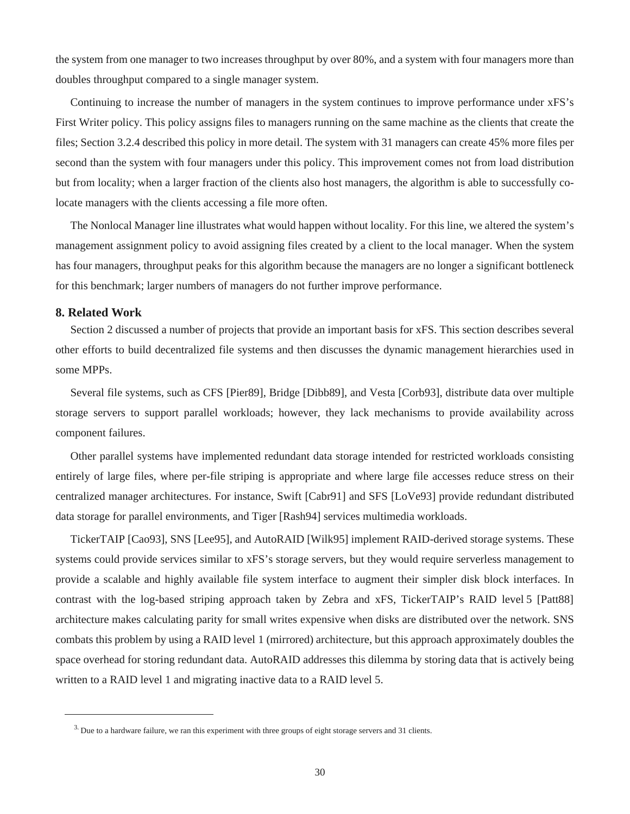the system from one manager to two increases throughput by over 80%, and a system with four managers more than doubles throughput compared to a single manager system.

Continuing to increase the number of managers in the system continues to improve performance under xFS's First Writer policy. This policy assigns files to managers running on the same machine as the clients that create the files; Section 3.2.4 described this policy in more detail. The system with 31 managers can create 45% more files per second than the system with four managers under this policy. This improvement comes not from load distribution but from locality; when a larger fraction of the clients also host managers, the algorithm is able to successfully colocate managers with the clients accessing a file more often.

The Nonlocal Manager line illustrates what would happen without locality. For this line, we altered the system's management assignment policy to avoid assigning files created by a client to the local manager. When the system has four managers, throughput peaks for this algorithm because the managers are no longer a significant bottleneck for this benchmark; larger numbers of managers do not further improve performance.

# **8. Related Work**

Section 2 discussed a number of projects that provide an important basis for xFS. This section describes several other efforts to build decentralized file systems and then discusses the dynamic management hierarchies used in some MPPs.

Several file systems, such as CFS [Pier89], Bridge [Dibb89], and Vesta [Corb93], distribute data over multiple storage servers to support parallel workloads; however, they lack mechanisms to provide availability across component failures.

Other parallel systems have implemented redundant data storage intended for restricted workloads consisting entirely of large files, where per-file striping is appropriate and where large file accesses reduce stress on their centralized manager architectures. For instance, Swift [Cabr91] and SFS [LoVe93] provide redundant distributed data storage for parallel environments, and Tiger [Rash94] services multimedia workloads.

TickerTAIP [Cao93], SNS [Lee95], and AutoRAID [Wilk95] implement RAID-derived storage systems. These systems could provide services similar to xFS's storage servers, but they would require serverless management to provide a scalable and highly available file system interface to augment their simpler disk block interfaces. In contrast with the log-based striping approach taken by Zebra and xFS, TickerTAIP's RAID level 5 [Patt88] architecture makes calculating parity for small writes expensive when disks are distributed over the network. SNS combats this problem by using a RAID level 1 (mirrored) architecture, but this approach approximately doubles the space overhead for storing redundant data. AutoRAID addresses this dilemma by storing data that is actively being written to a RAID level 1 and migrating inactive data to a RAID level 5.

<sup>&</sup>lt;sup>3.</sup> Due to a hardware failure, we ran this experiment with three groups of eight storage servers and 31 clients.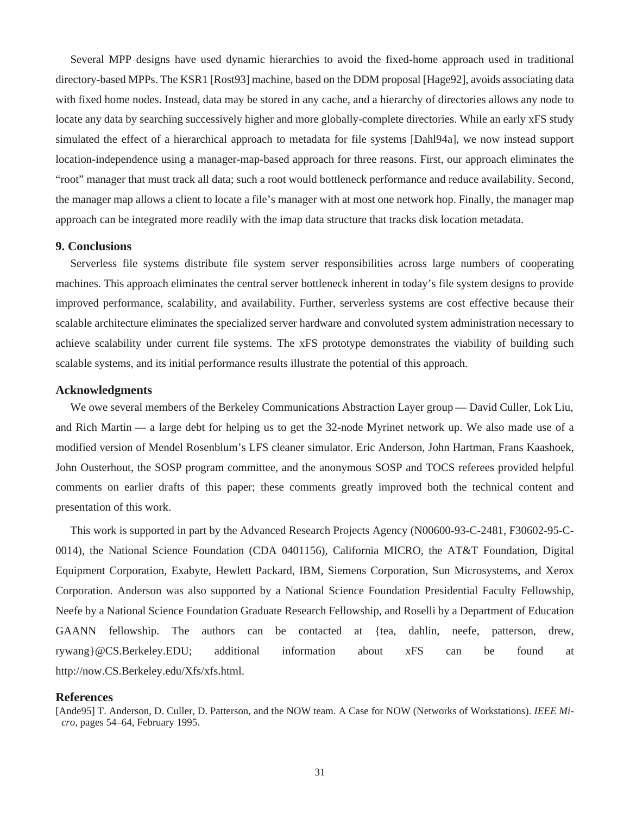Several MPP designs have used dynamic hierarchies to avoid the fixed-home approach used in traditional directory-based MPPs. The KSR1 [Rost93] machine, based on the DDM proposal [Hage92], avoids associating data with fixed home nodes. Instead, data may be stored in any cache, and a hierarchy of directories allows any node to locate any data by searching successively higher and more globally-complete directories. While an early xFS study simulated the effect of a hierarchical approach to metadata for file systems [Dahl94a], we now instead support location-independence using a manager-map-based approach for three reasons. First, our approach eliminates the "root" manager that must track all data; such a root would bottleneck performance and reduce availability. Second, the manager map allows a client to locate a file's manager with at most one network hop. Finally, the manager map approach can be integrated more readily with the imap data structure that tracks disk location metadata.

## **9. Conclusions**

Serverless file systems distribute file system server responsibilities across large numbers of cooperating machines. This approach eliminates the central server bottleneck inherent in today's file system designs to provide improved performance, scalability, and availability. Further, serverless systems are cost effective because their scalable architecture eliminates the specialized server hardware and convoluted system administration necessary to achieve scalability under current file systems. The xFS prototype demonstrates the viability of building such scalable systems, and its initial performance results illustrate the potential of this approach.

# **Acknowledgments**

We owe several members of the Berkeley Communications Abstraction Layer group — David Culler, Lok Liu, and Rich Martin — a large debt for helping us to get the 32-node Myrinet network up. We also made use of a modified version of Mendel Rosenblum's LFS cleaner simulator. Eric Anderson, John Hartman, Frans Kaashoek, John Ousterhout, the SOSP program committee, and the anonymous SOSP and TOCS referees provided helpful comments on earlier drafts of this paper; these comments greatly improved both the technical content and presentation of this work.

This work is supported in part by the Advanced Research Projects Agency (N00600-93-C-2481, F30602-95-C-0014), the National Science Foundation (CDA 0401156), California MICRO, the AT&T Foundation, Digital Equipment Corporation, Exabyte, Hewlett Packard, IBM, Siemens Corporation, Sun Microsystems, and Xerox Corporation. Anderson was also supported by a National Science Foundation Presidential Faculty Fellowship, Neefe by a National Science Foundation Graduate Research Fellowship, and Roselli by a Department of Education GAANN fellowship. The authors can be contacted at {tea, dahlin, neefe, patterson, drew, rywang}@CS.Berkeley.EDU; additional information about xFS can be found at http://now.CS.Berkeley.edu/Xfs/xfs.html.

### **References**

[Ande95] T. Anderson, D. Culler, D. Patterson, and the NOW team. A Case for NOW (Networks of Workstations). *IEEE Micro*, pages 54–64, February 1995.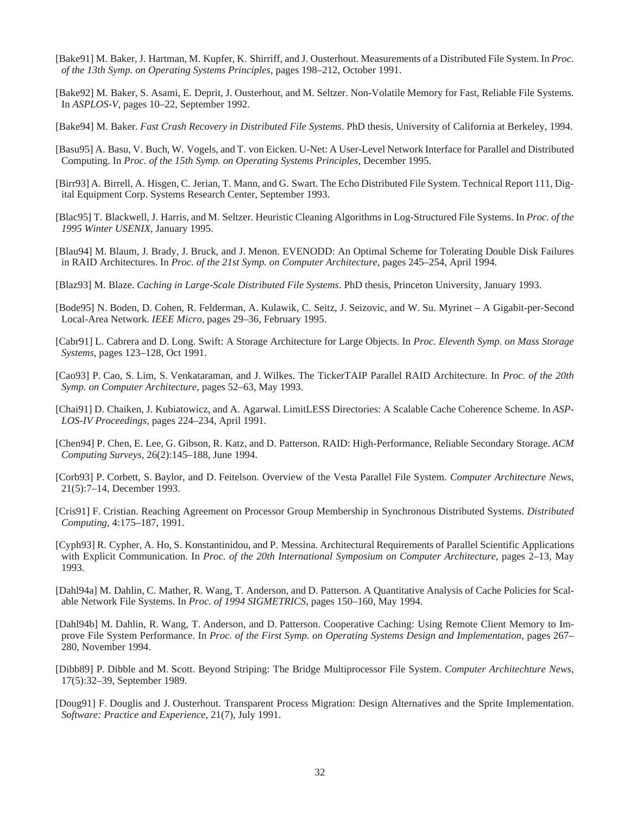- [Bake91] M. Baker, J. Hartman, M. Kupfer, K. Shirriff, and J. Ousterhout. Measurements of a Distributed File System. In *Proc. of the 13th Symp. on Operating Systems Principles*, pages 198–212, October 1991.
- [Bake92] M. Baker, S. Asami, E. Deprit, J. Ousterhout, and M. Seltzer. Non-Volatile Memory for Fast, Reliable File Systems. In *ASPLOS-V*, pages 10–22, September 1992.
- [Bake94] M. Baker. *Fast Crash Recovery in Distributed File Systems*. PhD thesis, University of California at Berkeley, 1994.
- [Basu95] A. Basu, V. Buch, W. Vogels, and T. von Eicken. U-Net: A User-Level Network Interface for Parallel and Distributed Computing. In *Proc. of the 15th Symp. on Operating Systems Principles*, December 1995.
- [Birr93] A. Birrell, A. Hisgen, C. Jerian, T. Mann, and G. Swart. The Echo Distributed File System. Technical Report 111, Digital Equipment Corp. Systems Research Center, September 1993.
- [Blac95] T. Blackwell, J. Harris, and M. Seltzer. Heuristic Cleaning Algorithms in Log-Structured File Systems. In *Proc. of the 1995 Winter USENIX*, January 1995.
- [Blau94] M. Blaum, J. Brady, J. Bruck, and J. Menon. EVENODD: An Optimal Scheme for Tolerating Double Disk Failures in RAID Architectures. In *Proc. of the 21st Symp. on Computer Architecture*, pages 245–254, April 1994.
- [Blaz93] M. Blaze. *Caching in Large-Scale Distributed File Systems*. PhD thesis, Princeton University, January 1993.
- [Bode95] N. Boden, D. Cohen, R. Felderman, A. Kulawik, C. Seitz, J. Seizovic, and W. Su. Myrinet A Gigabit-per-Second Local-Area Network. *IEEE Micro*, pages 29–36, February 1995.
- [Cabr91] L. Cabrera and D. Long. Swift: A Storage Architecture for Large Objects. In *Proc. Eleventh Symp. on Mass Storage Systems*, pages 123–128, Oct 1991.
- [Cao93] P. Cao, S. Lim, S. Venkataraman, and J. Wilkes. The TickerTAIP Parallel RAID Architecture. In *Proc. of the 20th Symp. on Computer Architecture*, pages 52–63, May 1993.
- [Chai91] D. Chaiken, J. Kubiatowicz, and A. Agarwal. LimitLESS Directories: A Scalable Cache Coherence Scheme. In *ASP-LOS-IV Proceedings*, pages 224–234, April 1991.
- [Chen94] P. Chen, E. Lee, G. Gibson, R. Katz, and D. Patterson. RAID: High-Performance, Reliable Secondary Storage. *ACM Computing Surveys*, 26(2):145–188, June 1994.
- [Corb93] P. Corbett, S. Baylor, and D. Feitelson. Overview of the Vesta Parallel File System. *Computer Architecture News*, 21(5):7–14, December 1993.
- [Cris91] F. Cristian. Reaching Agreement on Processor Group Membership in Synchronous Distributed Systems. *Distributed Computing*, 4:175–187, 1991.
- [Cyph93] R. Cypher, A. Ho, S. Konstantinidou, and P. Messina. Architectural Requirements of Parallel Scientific Applications with Explicit Communication. In *Proc. of the 20th International Symposium on Computer Architecture*, pages 2–13, May 1993.
- [Dahl94a] M. Dahlin, C. Mather, R. Wang, T. Anderson, and D. Patterson. A Quantitative Analysis of Cache Policies for Scalable Network File Systems. In *Proc. of 1994 SIGMETRICS*, pages 150–160, May 1994.
- [Dahl94b] M. Dahlin, R. Wang, T. Anderson, and D. Patterson. Cooperative Caching: Using Remote Client Memory to Improve File System Performance. In *Proc. of the First Symp. on Operating Systems Design and Implementation*, pages 267– 280, November 1994.
- [Dibb89] P. Dibble and M. Scott. Beyond Striping: The Bridge Multiprocessor File System. *Computer Architechture News*, 17(5):32–39, September 1989.
- [Doug91] F. Douglis and J. Ousterhout. Transparent Process Migration: Design Alternatives and the Sprite Implementation. *Software: Practice and Experience*, 21(7), July 1991.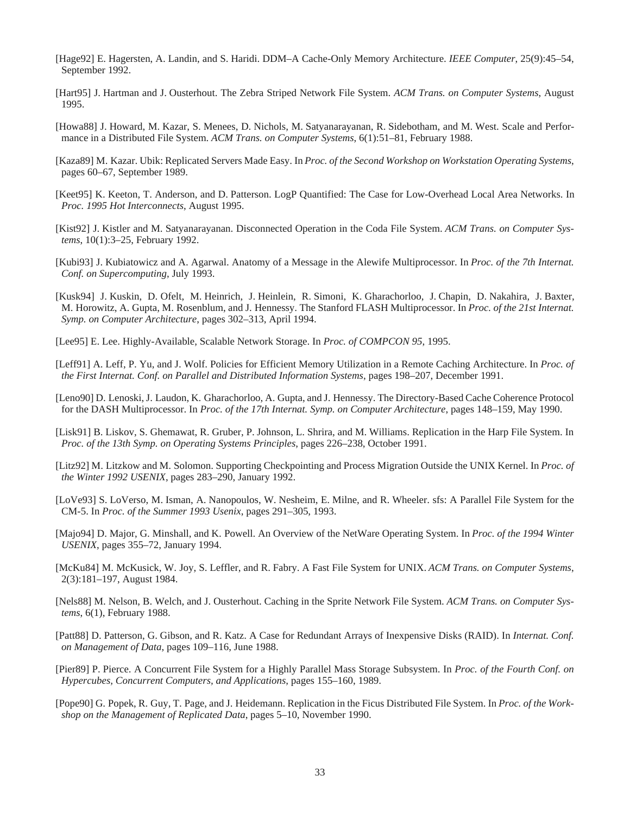- [Hage92] E. Hagersten, A. Landin, and S. Haridi. DDM–A Cache-Only Memory Architecture. *IEEE Computer*, 25(9):45–54, September 1992.
- [Hart95] J. Hartman and J. Ousterhout. The Zebra Striped Network File System. *ACM Trans. on Computer Systems*, August 1995.
- [Howa88] J. Howard, M. Kazar, S. Menees, D. Nichols, M. Satyanarayanan, R. Sidebotham, and M. West. Scale and Performance in a Distributed File System. *ACM Trans. on Computer Systems*, 6(1):51–81, February 1988.
- [Kaza89] M. Kazar. Ubik: Replicated Servers Made Easy. In *Proc. of the Second Workshop on Workstation Operating Systems*, pages 60–67, September 1989.
- [Keet95] K. Keeton, T. Anderson, and D. Patterson. LogP Quantified: The Case for Low-Overhead Local Area Networks. In *Proc. 1995 Hot Interconnects*, August 1995.
- [Kist92] J. Kistler and M. Satyanarayanan. Disconnected Operation in the Coda File System. *ACM Trans. on Computer Systems*, 10(1):3–25, February 1992.
- [Kubi93] J. Kubiatowicz and A. Agarwal. Anatomy of a Message in the Alewife Multiprocessor. In *Proc. of the 7th Internat. Conf. on Supercomputing*, July 1993.
- [Kusk94] J. Kuskin, D. Ofelt, M. Heinrich, J. Heinlein, R. Simoni, K. Gharachorloo, J. Chapin, D. Nakahira, J. Baxter, M. Horowitz, A. Gupta, M. Rosenblum, and J. Hennessy. The Stanford FLASH Multiprocessor. In *Proc. of the 21st Internat. Symp. on Computer Architecture*, pages 302–313, April 1994.
- [Lee95] E. Lee. Highly-Available, Scalable Network Storage. In *Proc. of COMPCON 95*, 1995.
- [Leff91] A. Leff, P. Yu, and J. Wolf. Policies for Efficient Memory Utilization in a Remote Caching Architecture. In *Proc. of the First Internat. Conf. on Parallel and Distributed Information Systems*, pages 198–207, December 1991.
- [Leno90] D. Lenoski, J. Laudon, K. Gharachorloo, A. Gupta, and J. Hennessy. The Directory-Based Cache Coherence Protocol for the DASH Multiprocessor. In *Proc. of the 17th Internat. Symp. on Computer Architecture*, pages 148–159, May 1990.
- [Lisk91] B. Liskov, S. Ghemawat, R. Gruber, P. Johnson, L. Shrira, and M. Williams. Replication in the Harp File System. In *Proc. of the 13th Symp. on Operating Systems Principles*, pages 226–238, October 1991.
- [Litz92] M. Litzkow and M. Solomon. Supporting Checkpointing and Process Migration Outside the UNIX Kernel. In *Proc. of the Winter 1992 USENIX*, pages 283–290, January 1992.
- [LoVe93] S. LoVerso, M. Isman, A. Nanopoulos, W. Nesheim, E. Milne, and R. Wheeler. sfs: A Parallel File System for the CM-5. In *Proc. of the Summer 1993 Usenix*, pages 291–305, 1993.
- [Majo94] D. Major, G. Minshall, and K. Powell. An Overview of the NetWare Operating System. In *Proc. of the 1994 Winter USENIX*, pages 355–72, January 1994.
- [McKu84] M. McKusick, W. Joy, S. Leffler, and R. Fabry. A Fast File System for UNIX. *ACM Trans. on Computer Systems*, 2(3):181–197, August 1984.
- [Nels88] M. Nelson, B. Welch, and J. Ousterhout. Caching in the Sprite Network File System. *ACM Trans. on Computer Systems*, 6(1), February 1988.
- [Patt88] D. Patterson, G. Gibson, and R. Katz. A Case for Redundant Arrays of Inexpensive Disks (RAID). In *Internat. Conf. on Management of Data*, pages 109–116, June 1988.
- [Pier89] P. Pierce. A Concurrent File System for a Highly Parallel Mass Storage Subsystem. In *Proc. of the Fourth Conf. on Hypercubes, Concurrent Computers, and Applications*, pages 155–160, 1989.

[Pope90] G. Popek, R. Guy, T. Page, and J. Heidemann. Replication in the Ficus Distributed File System. In *Proc. of the Workshop on the Management of Replicated Data*, pages 5–10, November 1990.